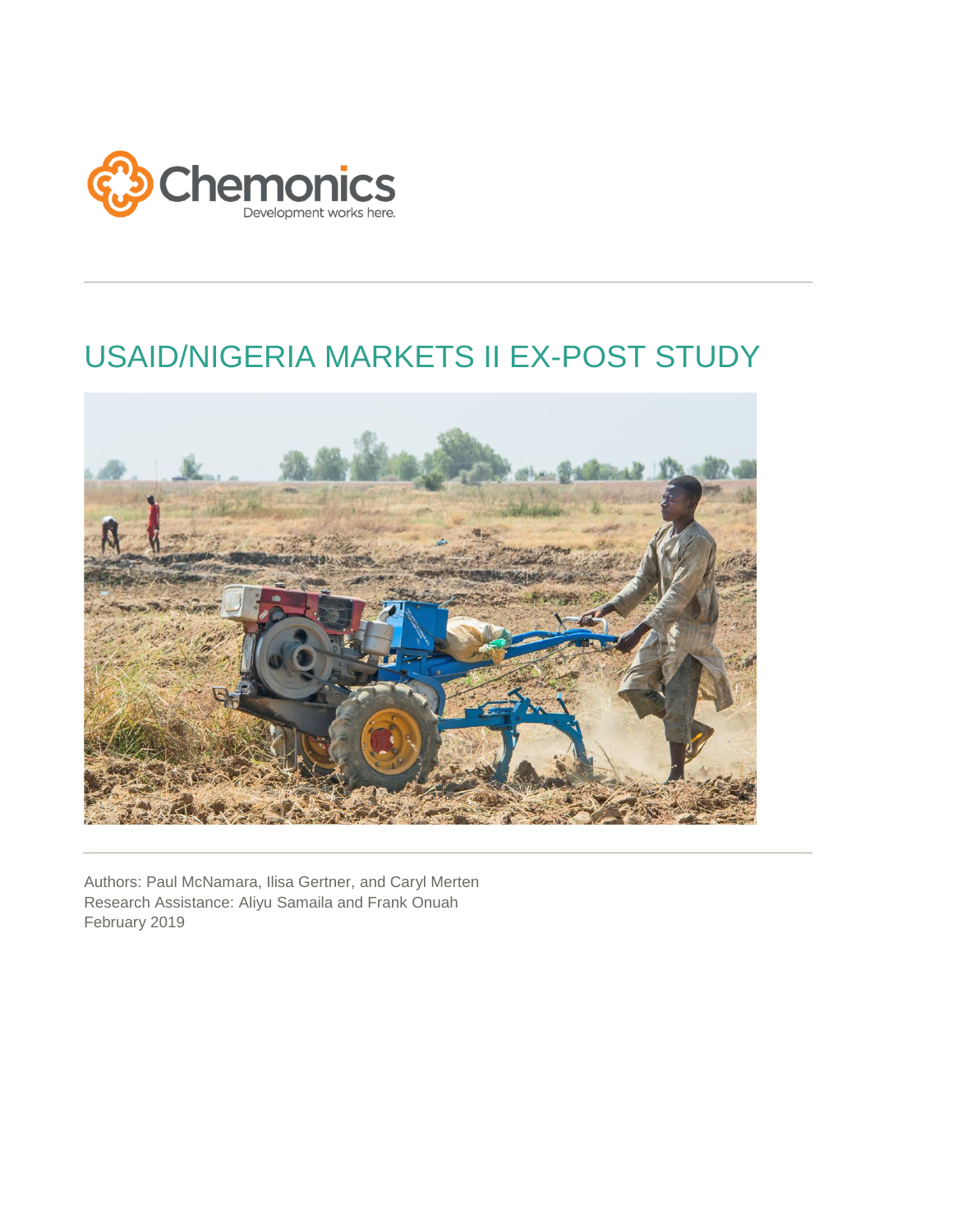

## USAID/NIGERIA MARKETS II EX-POST STUDY



Authors: Paul McNamara, Ilisa Gertner, and Caryl Merten Research Assistance: Aliyu Samaila and Frank Onuah February 2019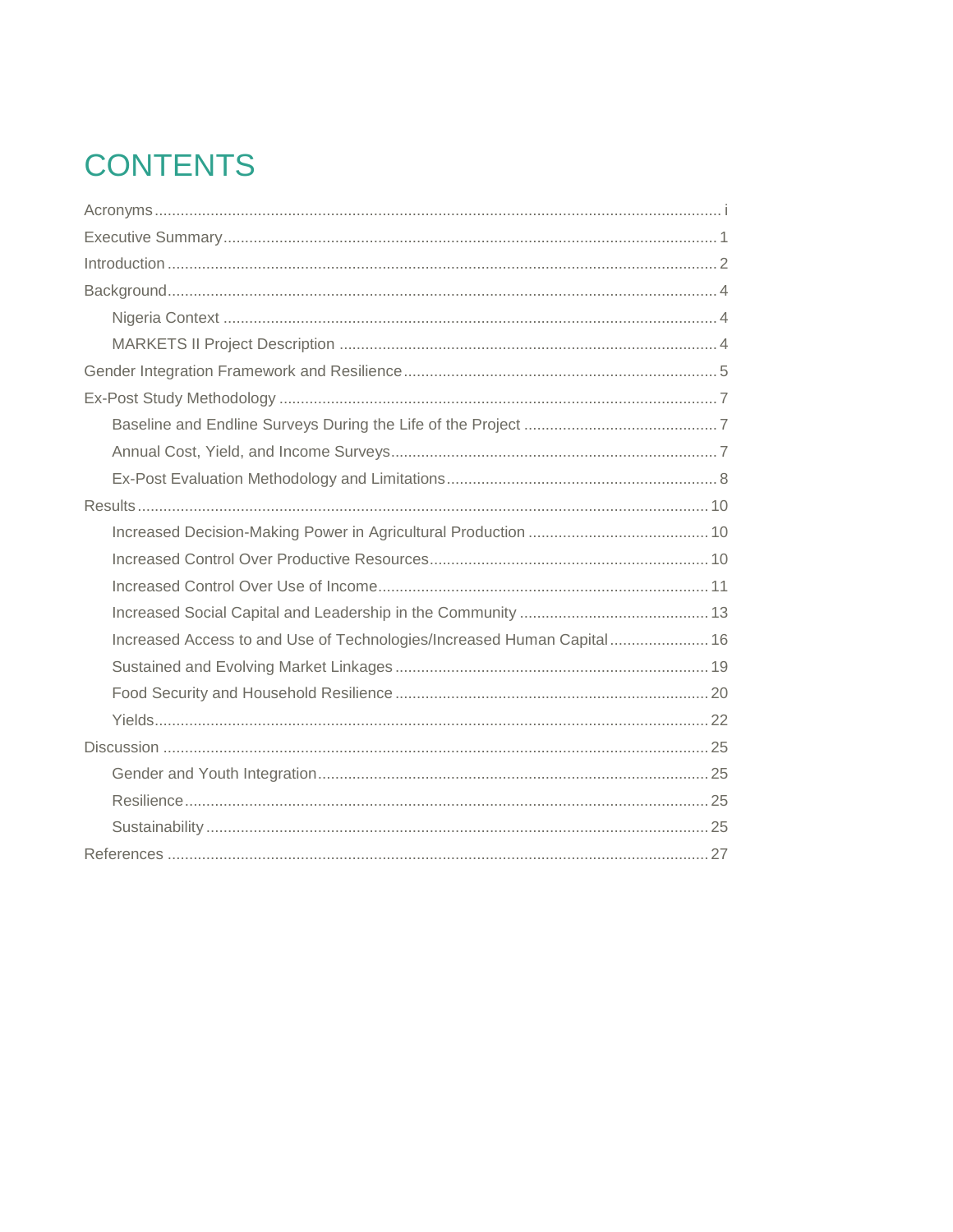# **CONTENTS**

| Increased Access to and Use of Technologies/Increased Human Capital 16 |
|------------------------------------------------------------------------|
|                                                                        |
|                                                                        |
|                                                                        |
|                                                                        |
|                                                                        |
|                                                                        |
|                                                                        |
|                                                                        |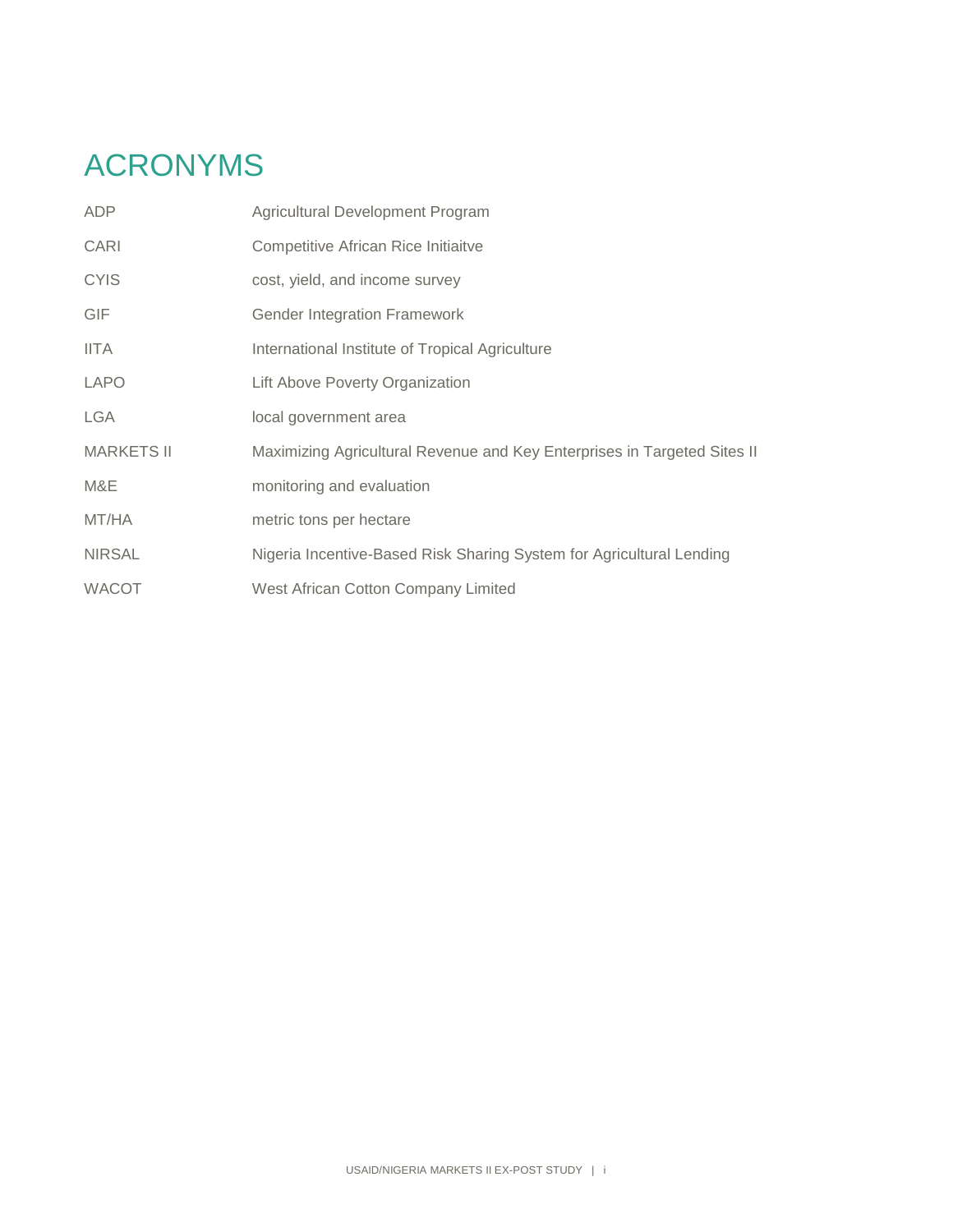# ACRONYMS

| <b>ADP</b>        | Agricultural Development Program                                         |
|-------------------|--------------------------------------------------------------------------|
| <b>CARI</b>       | Competitive African Rice Initiaitve                                      |
| <b>CYIS</b>       | cost, yield, and income survey                                           |
| <b>GIF</b>        | <b>Gender Integration Framework</b>                                      |
| <b>IITA</b>       | International Institute of Tropical Agriculture                          |
| <b>LAPO</b>       | Lift Above Poverty Organization                                          |
| LGA               | local government area                                                    |
| <b>MARKETS II</b> | Maximizing Agricultural Revenue and Key Enterprises in Targeted Sites II |
| M&E               | monitoring and evaluation                                                |
| MT/HA             | metric tons per hectare                                                  |
| <b>NIRSAL</b>     | Nigeria Incentive-Based Risk Sharing System for Agricultural Lending     |
| <b>WACOT</b>      | West African Cotton Company Limited                                      |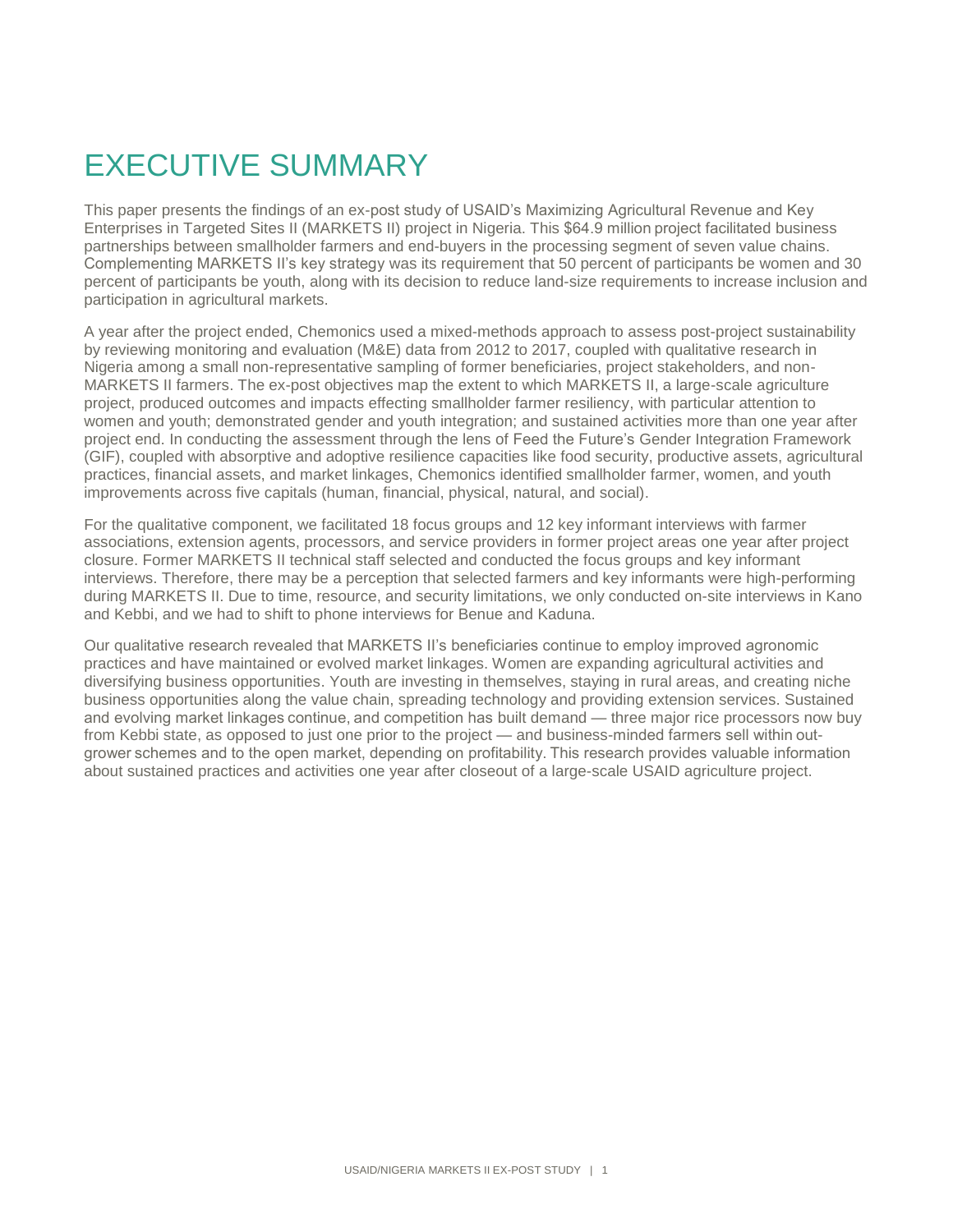## EXECUTIVE SUMMARY

This paper presents the findings of an ex-post study of USAID's Maximizing Agricultural Revenue and Key Enterprises in Targeted Sites II (MARKETS II) project in Nigeria. This \$64.9 million project facilitated business partnerships between smallholder farmers and end-buyers in the processing segment of seven value chains. Complementing MARKETS II's key strategy was its requirement that 50 percent of participants be women and 30 percent of participants be youth, along with its decision to reduce land-size requirements to increase inclusion and participation in agricultural markets.

A year after the project ended, Chemonics used a mixed-methods approach to assess post-project sustainability by reviewing monitoring and evaluation (M&E) data from 2012 to 2017, coupled with qualitative research in Nigeria among a small non-representative sampling of former beneficiaries, project stakeholders, and non-MARKETS II farmers. The ex-post objectives map the extent to which MARKETS II, a large-scale agriculture project, produced outcomes and impacts effecting smallholder farmer resiliency, with particular attention to women and youth; demonstrated gender and youth integration; and sustained activities more than one year after project end. In conducting the assessment through the lens of Feed the Future's Gender Integration Framework (GIF), coupled with absorptive and adoptive resilience capacities like food security, productive assets, agricultural practices, financial assets, and market linkages, Chemonics identified smallholder farmer, women, and youth improvements across five capitals (human, financial, physical, natural, and social).

For the qualitative component, we facilitated 18 focus groups and 12 key informant interviews with farmer associations, extension agents, processors, and service providers in former project areas one year after project closure. Former MARKETS II technical staff selected and conducted the focus groups and key informant interviews. Therefore, there may be a perception that selected farmers and key informants were high-performing during MARKETS II. Due to time, resource, and security limitations, we only conducted on-site interviews in Kano and Kebbi, and we had to shift to phone interviews for Benue and Kaduna.

Our qualitative research revealed that MARKETS II's beneficiaries continue to employ improved agronomic practices and have maintained or evolved market linkages. Women are expanding agricultural activities and diversifying business opportunities. Youth are investing in themselves, staying in rural areas, and creating niche business opportunities along the value chain, spreading technology and providing extension services. Sustained and evolving market linkages continue, and competition has built demand — three major rice processors now buy from Kebbi state, as opposed to just one prior to the project — and business-minded farmers sell within outgrower schemes and to the open market, depending on profitability. This research provides valuable information about sustained practices and activities one year after closeout of a large-scale USAID agriculture project.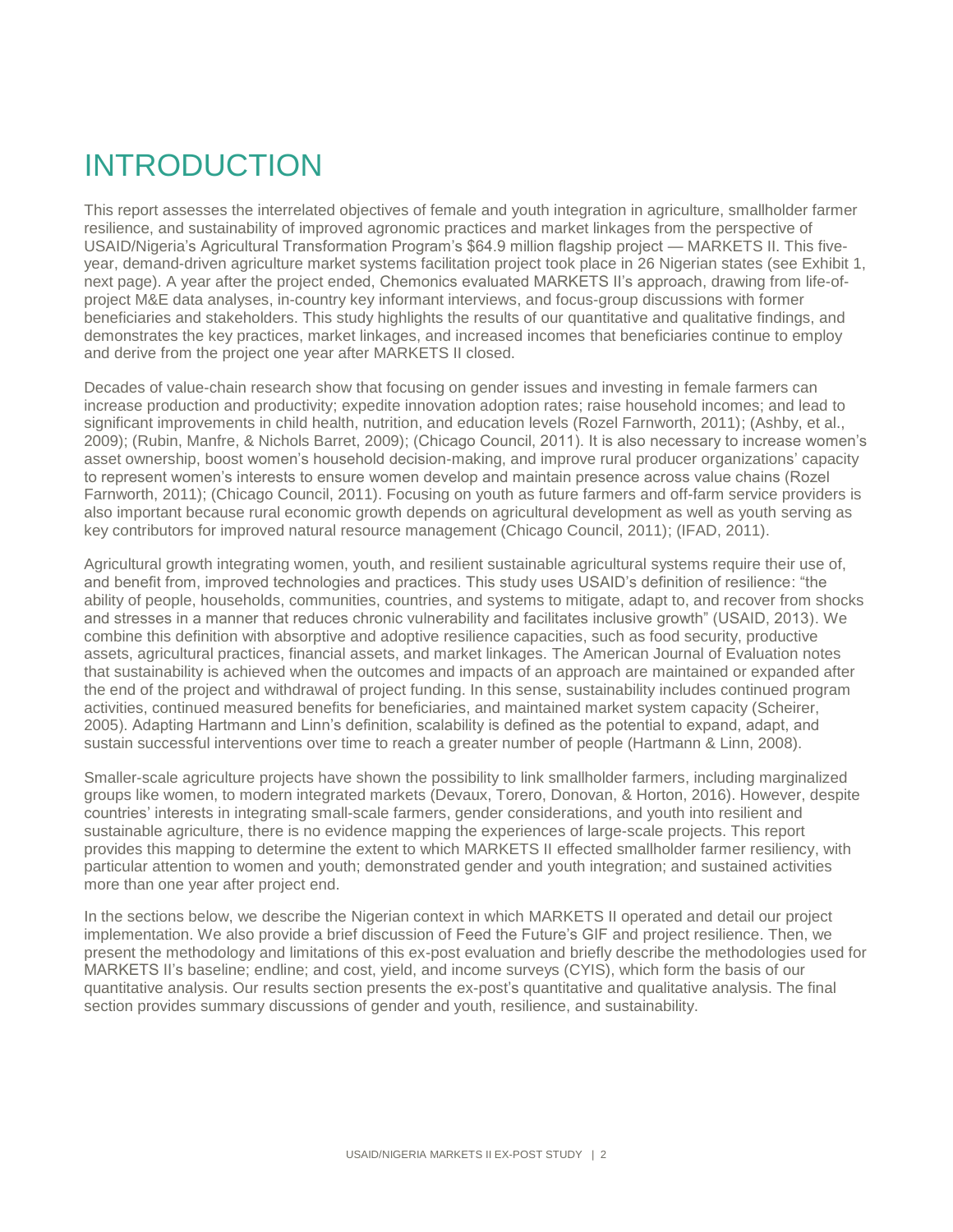## INTRODUCTION

This report assesses the interrelated objectives of female and youth integration in agriculture, smallholder farmer resilience, and sustainability of improved agronomic practices and market linkages from the perspective of USAID/Nigeria's Agricultural Transformation Program's \$64.9 million flagship project — MARKETS II. This fiveyear, demand-driven agriculture market systems facilitation project took place in 26 Nigerian states (see Exhibit 1, next page). A year after the project ended, Chemonics evaluated MARKETS II's approach, drawing from life-ofproject M&E data analyses, in-country key informant interviews, and focus-group discussions with former beneficiaries and stakeholders. This study highlights the results of our quantitative and qualitative findings, and demonstrates the key practices, market linkages, and increased incomes that beneficiaries continue to employ and derive from the project one year after MARKETS II closed.

Decades of value-chain research show that focusing on gender issues and investing in female farmers can increase production and productivity; expedite innovation adoption rates; raise household incomes; and lead to significant improvements in child health, nutrition, and education levels (Rozel Farnworth, 2011); (Ashby, et al., 2009); (Rubin, Manfre, & Nichols Barret, 2009); (Chicago Council, 2011). It is also necessary to increase women's asset ownership, boost women's household decision-making, and improve rural producer organizations' capacity to represent women's interests to ensure women develop and maintain presence across value chains (Rozel Farnworth, 2011); (Chicago Council, 2011). Focusing on youth as future farmers and off-farm service providers is also important because rural economic growth depends on agricultural development as well as youth serving as key contributors for improved natural resource management (Chicago Council, 2011); (IFAD, 2011).

Agricultural growth integrating women, youth, and resilient sustainable agricultural systems require their use of, and benefit from, improved technologies and practices. This study uses USAID's definition of resilience: "the ability of people, households, communities, countries, and systems to mitigate, adapt to, and recover from shocks and stresses in a manner that reduces chronic vulnerability and facilitates inclusive growth" (USAID, 2013). We combine this definition with absorptive and adoptive resilience capacities, such as food security, productive assets, agricultural practices, financial assets, and market linkages. The American Journal of Evaluation notes that sustainability is achieved when the outcomes and impacts of an approach are maintained or expanded after the end of the project and withdrawal of project funding. In this sense, sustainability includes continued program activities, continued measured benefits for beneficiaries, and maintained market system capacity (Scheirer, 2005). Adapting Hartmann and Linn's definition, scalability is defined as the potential to expand, adapt, and sustain successful interventions over time to reach a greater number of people (Hartmann & Linn, 2008).

Smaller-scale agriculture projects have shown the possibility to link smallholder farmers, including marginalized groups like women, to modern integrated markets (Devaux, Torero, Donovan, & Horton, 2016). However, despite countries' interests in integrating small-scale farmers, gender considerations, and youth into resilient and sustainable agriculture, there is no evidence mapping the experiences of large-scale projects. This report provides this mapping to determine the extent to which MARKETS II effected smallholder farmer resiliency, with particular attention to women and youth; demonstrated gender and youth integration; and sustained activities more than one year after project end.

In the sections below, we describe the Nigerian context in which MARKETS II operated and detail our project implementation. We also provide a brief discussion of Feed the Future's GIF and project resilience. Then, we present the methodology and limitations of this ex-post evaluation and briefly describe the methodologies used for MARKETS II's baseline; endline; and cost, yield, and income surveys (CYIS), which form the basis of our quantitative analysis. Our results section presents the ex-post's quantitative and qualitative analysis. The final section provides summary discussions of gender and youth, resilience, and sustainability.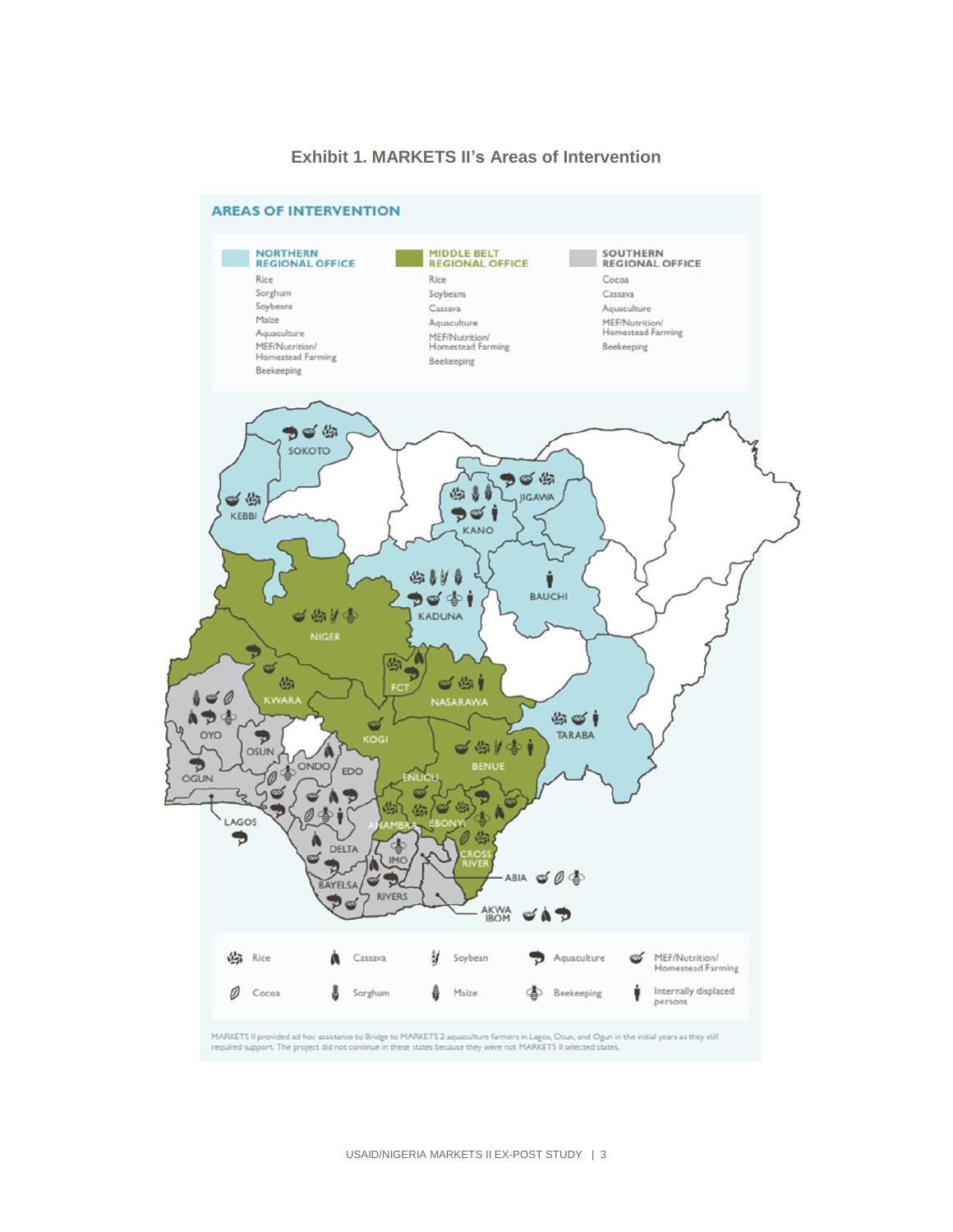

#### **Exhibit 1. MARKETS II's Areas of Intervention**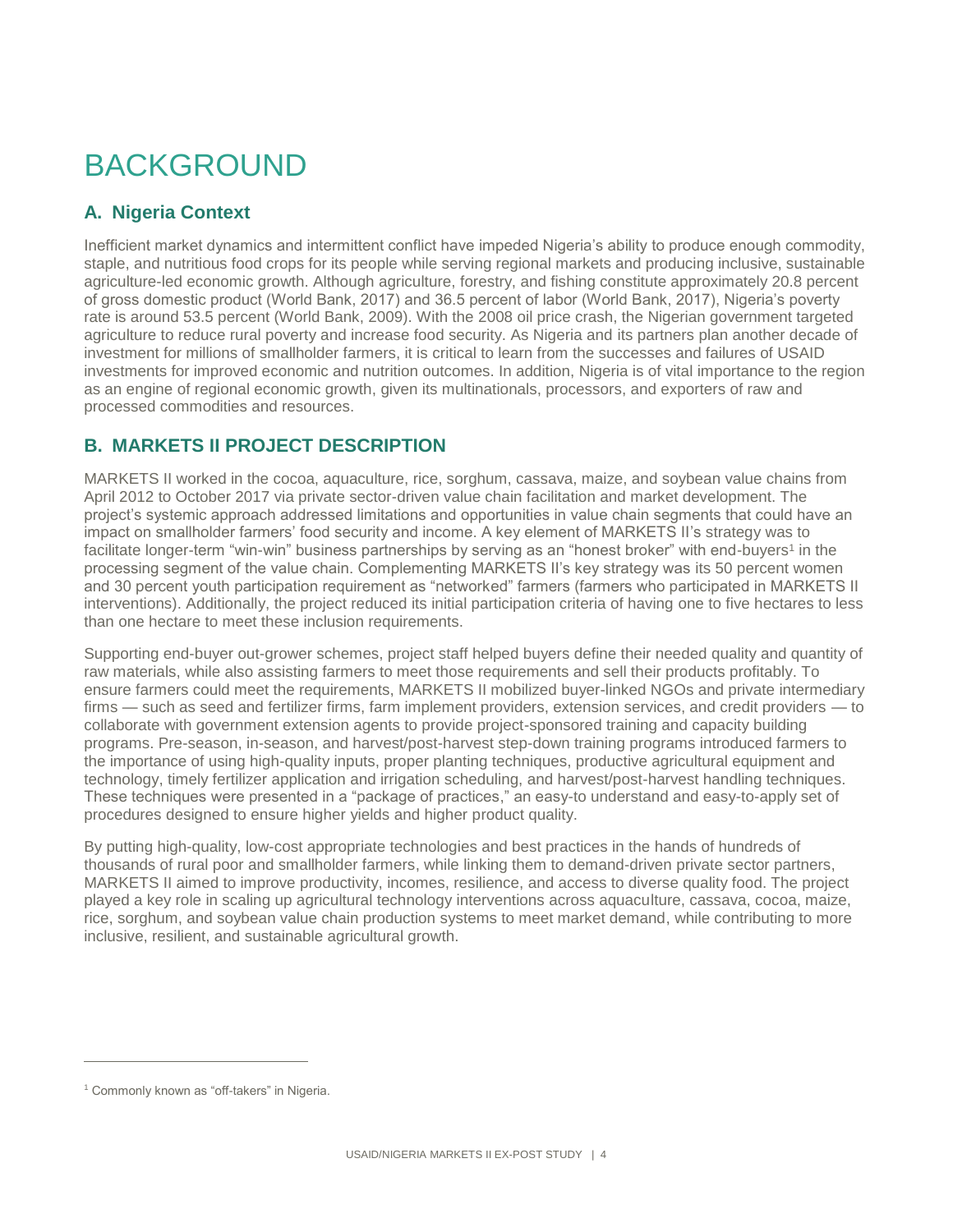# BACKGROUND

## **A. Nigeria Context**

Inefficient market dynamics and intermittent conflict have impeded Nigeria's ability to produce enough commodity, staple, and nutritious food crops for its people while serving regional markets and producing inclusive, sustainable agriculture-led economic growth. Although agriculture, forestry, and fishing constitute approximately 20.8 percent of gross domestic product (World Bank, 2017) and 36.5 percent of labor (World Bank, 2017), Nigeria's poverty rate is around 53.5 percent (World Bank, 2009). With the 2008 oil price crash, the Nigerian government targeted agriculture to reduce rural poverty and increase food security. As Nigeria and its partners plan another decade of investment for millions of smallholder farmers, it is critical to learn from the successes and failures of USAID investments for improved economic and nutrition outcomes. In addition, Nigeria is of vital importance to the region as an engine of regional economic growth, given its multinationals, processors, and exporters of raw and processed commodities and resources.

## **B. MARKETS II PROJECT DESCRIPTION**

MARKETS II worked in the cocoa, aquaculture, rice, sorghum, cassava, maize, and soybean value chains from April 2012 to October 2017 via private sector-driven value chain facilitation and market development. The project's systemic approach addressed limitations and opportunities in value chain segments that could have an impact on smallholder farmers' food security and income. A key element of MARKETS II's strategy was to facilitate longer-term "win-win" business partnerships by serving as an "honest broker" with end-buyers<sup>1</sup> in the processing segment of the value chain. Complementing MARKETS II's key strategy was its 50 percent women and 30 percent youth participation requirement as "networked" farmers (farmers who participated in MARKETS II interventions). Additionally, the project reduced its initial participation criteria of having one to five hectares to less than one hectare to meet these inclusion requirements.

Supporting end-buyer out-grower schemes, project staff helped buyers define their needed quality and quantity of raw materials, while also assisting farmers to meet those requirements and sell their products profitably. To ensure farmers could meet the requirements, MARKETS II mobilized buyer-linked NGOs and private intermediary firms — such as seed and fertilizer firms, farm implement providers, extension services, and credit providers — to collaborate with government extension agents to provide project-sponsored training and capacity building programs. Pre-season, in-season, and harvest/post-harvest step-down training programs introduced farmers to the importance of using high-quality inputs, proper planting techniques, productive agricultural equipment and technology, timely fertilizer application and irrigation scheduling, and harvest/post-harvest handling techniques. These techniques were presented in a "package of practices," an easy-to understand and easy-to-apply set of procedures designed to ensure higher yields and higher product quality.

By putting high-quality, low-cost appropriate technologies and best practices in the hands of hundreds of thousands of rural poor and smallholder farmers, while linking them to demand-driven private sector partners, MARKETS II aimed to improve productivity, incomes, resilience, and access to diverse quality food. The project played a key role in scaling up agricultural technology interventions across aquaculture, cassava, cocoa, maize, rice, sorghum, and soybean value chain production systems to meet market demand, while contributing to more inclusive, resilient, and sustainable agricultural growth.

 $\overline{a}$ 

<sup>&</sup>lt;sup>1</sup> Commonly known as "off-takers" in Nigeria.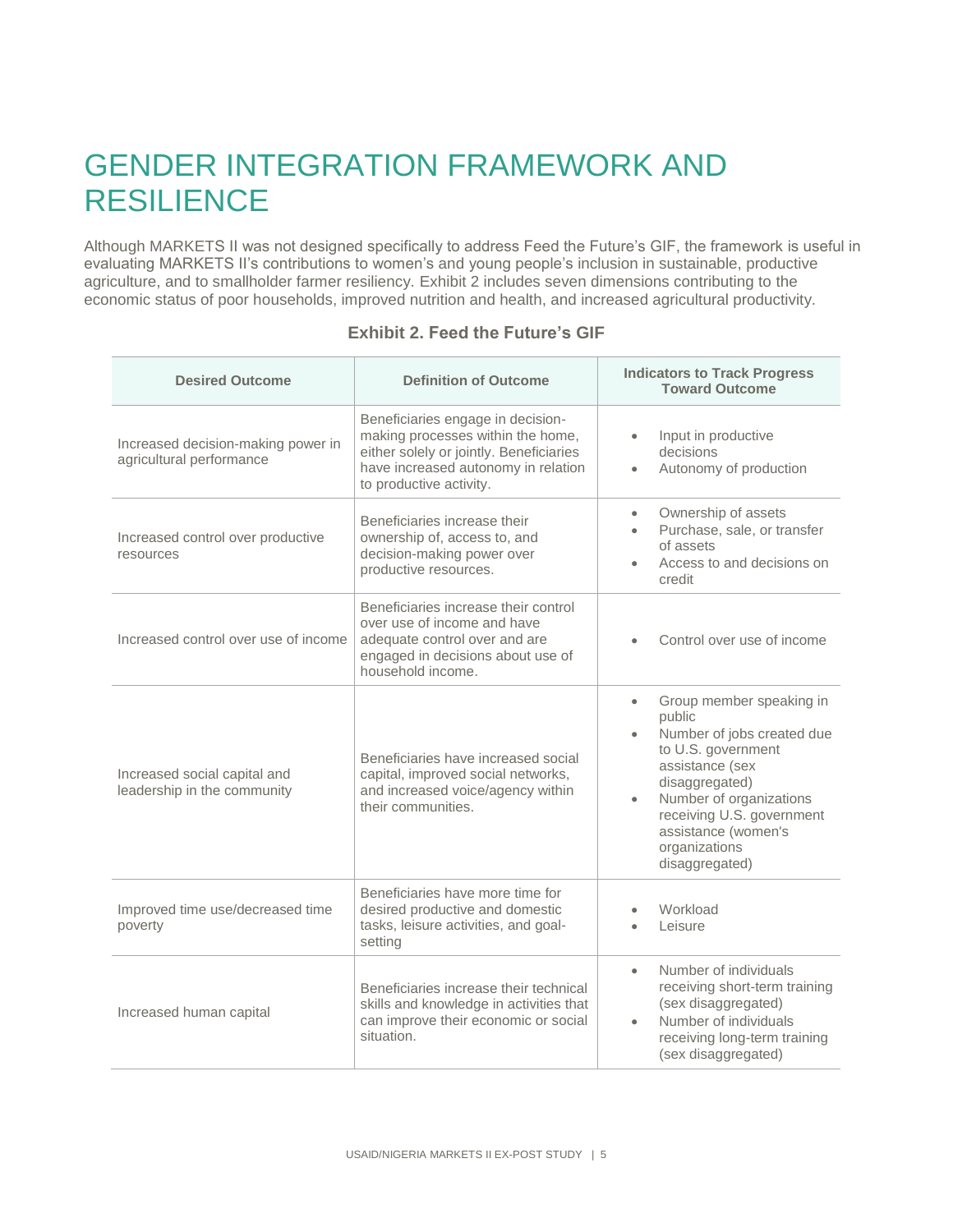## GENDER INTEGRATION FRAMEWORK AND RESILIENCE

Although MARKETS II was not designed specifically to address Feed the Future's GIF, the framework is useful in evaluating MARKETS II's contributions to women's and young people's inclusion in sustainable, productive agriculture, and to smallholder farmer resiliency. Exhibit 2 includes seven dimensions contributing to the economic status of poor households, improved nutrition and health, and increased agricultural productivity.

| <b>Desired Outcome</b>                                         | <b>Definition of Outcome</b>                                                                                                                                                        | <b>Indicators to Track Progress</b><br><b>Toward Outcome</b>                                                                                                                                                                                                                         |
|----------------------------------------------------------------|-------------------------------------------------------------------------------------------------------------------------------------------------------------------------------------|--------------------------------------------------------------------------------------------------------------------------------------------------------------------------------------------------------------------------------------------------------------------------------------|
| Increased decision-making power in<br>agricultural performance | Beneficiaries engage in decision-<br>making processes within the home,<br>either solely or jointly. Beneficiaries<br>have increased autonomy in relation<br>to productive activity. | Input in productive<br>$\bullet$<br>decisions<br>Autonomy of production<br>$\bullet$                                                                                                                                                                                                 |
| Increased control over productive<br>resources                 | Beneficiaries increase their<br>ownership of, access to, and<br>decision-making power over<br>productive resources.                                                                 | Ownership of assets<br>$\bullet$<br>Purchase, sale, or transfer<br>$\bullet$<br>of assets<br>Access to and decisions on<br>$\bullet$<br>credit                                                                                                                                       |
| Increased control over use of income                           | Beneficiaries increase their control<br>over use of income and have<br>adequate control over and are<br>engaged in decisions about use of<br>household income.                      | Control over use of income                                                                                                                                                                                                                                                           |
| Increased social capital and<br>leadership in the community    | Beneficiaries have increased social<br>capital, improved social networks,<br>and increased voice/agency within<br>their communities.                                                | Group member speaking in<br>$\bullet$<br>public<br>Number of jobs created due<br>$\bullet$<br>to U.S. government<br>assistance (sex<br>disaggregated)<br>Number of organizations<br>$\bullet$<br>receiving U.S. government<br>assistance (women's<br>organizations<br>disaggregated) |
| Improved time use/decreased time<br>poverty                    | Beneficiaries have more time for<br>desired productive and domestic<br>tasks, leisure activities, and goal-<br>setting                                                              | Workload<br>$\bullet$<br>Leisure                                                                                                                                                                                                                                                     |
| Increased human capital                                        | Beneficiaries increase their technical<br>skills and knowledge in activities that<br>can improve their economic or social<br>situation.                                             | Number of individuals<br>$\bullet$<br>receiving short-term training<br>(sex disaggregated)<br>Number of individuals<br>$\bullet$<br>receiving long-term training<br>(sex disaggregated)                                                                                              |

#### **Exhibit 2. Feed the Future's GIF**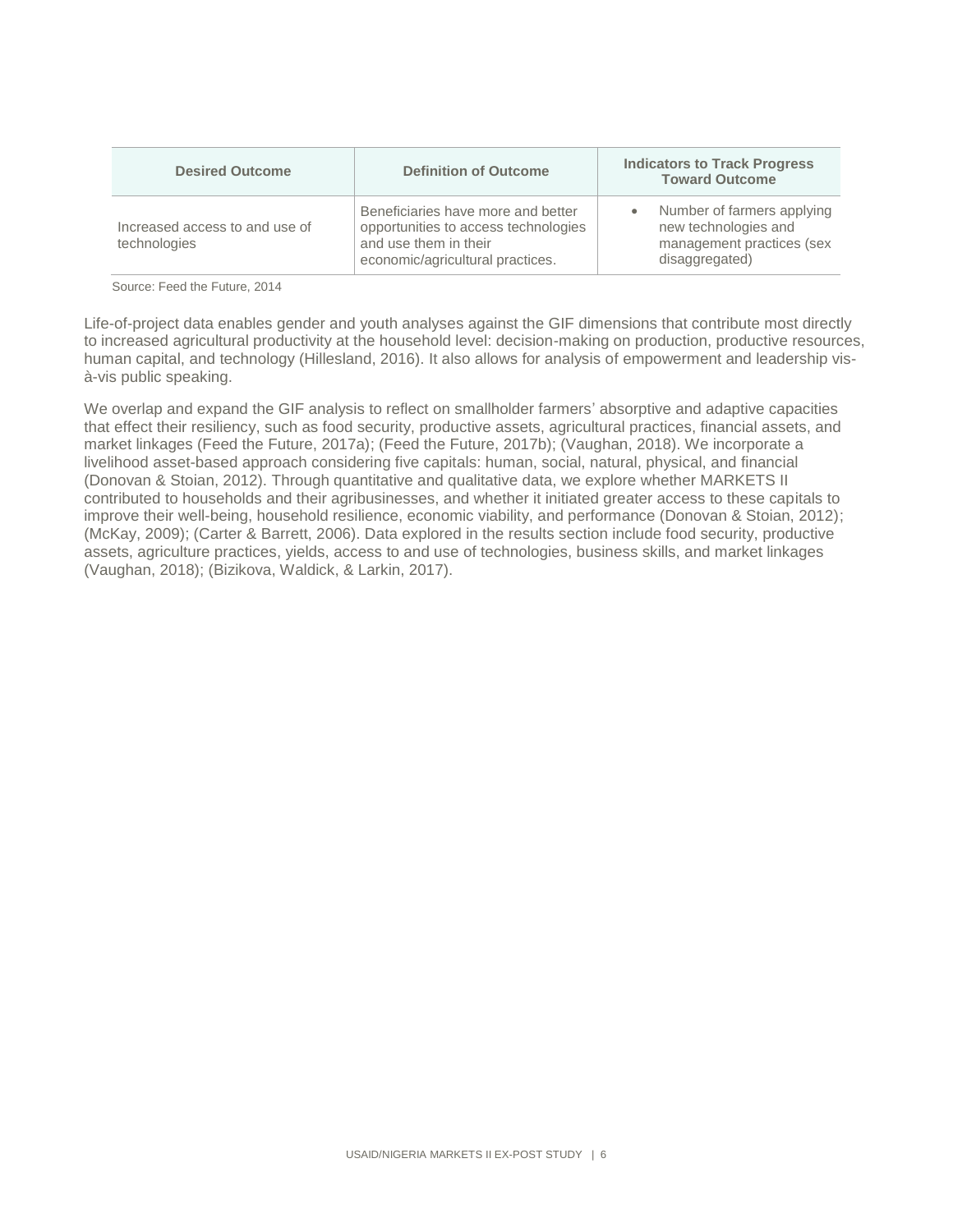| <b>Desired Outcome</b>                         | <b>Definition of Outcome</b>                                                                                                            | <b>Indicators to Track Progress</b><br><b>Toward Outcome</b>                                                   |
|------------------------------------------------|-----------------------------------------------------------------------------------------------------------------------------------------|----------------------------------------------------------------------------------------------------------------|
| Increased access to and use of<br>technologies | Beneficiaries have more and better<br>opportunities to access technologies<br>and use them in their<br>economic/agricultural practices. | Number of farmers applying<br>$\bullet$<br>new technologies and<br>management practices (sex<br>disaggregated) |

Source: Feed the Future, 2014

Life-of-project data enables gender and youth analyses against the GIF dimensions that contribute most directly to increased agricultural productivity at the household level: decision-making on production, productive resources, human capital, and technology (Hillesland, 2016). It also allows for analysis of empowerment and leadership visà-vis public speaking.

We overlap and expand the GIF analysis to reflect on smallholder farmers' absorptive and adaptive capacities that effect their resiliency, such as food security, productive assets, agricultural practices, financial assets, and market linkages (Feed the Future, 2017a); (Feed the Future, 2017b); (Vaughan, 2018). We incorporate a livelihood asset-based approach considering five capitals: human, social, natural, physical, and financial (Donovan & Stoian, 2012). Through quantitative and qualitative data, we explore whether MARKETS II contributed to households and their agribusinesses, and whether it initiated greater access to these capitals to improve their well-being, household resilience, economic viability, and performance (Donovan & Stoian, 2012); (McKay, 2009); (Carter & Barrett, 2006). Data explored in the results section include food security, productive assets, agriculture practices, yields, access to and use of technologies, business skills, and market linkages (Vaughan, 2018); (Bizikova, Waldick, & Larkin, 2017).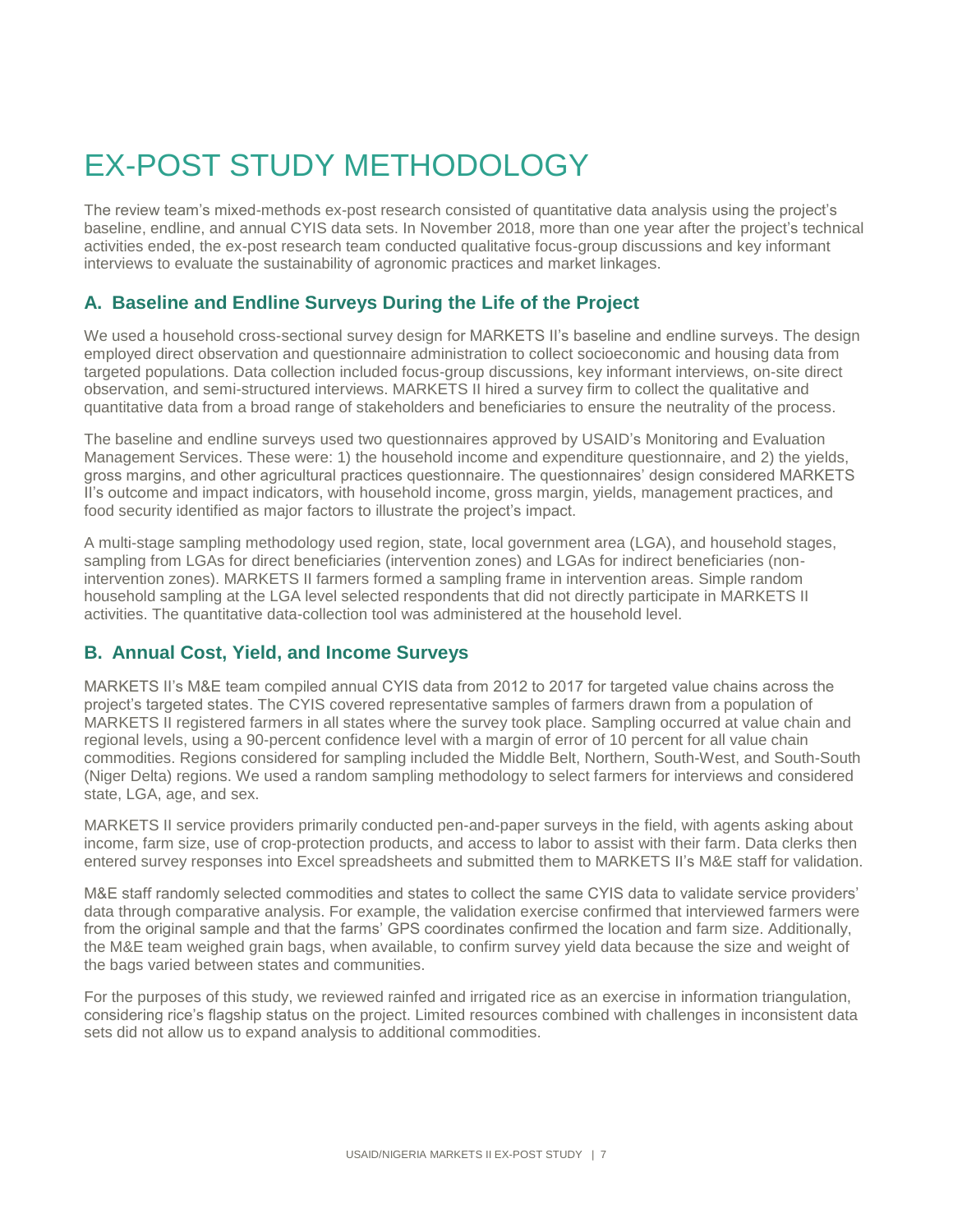# EX-POST STUDY METHODOLOGY

The review team's mixed-methods ex-post research consisted of quantitative data analysis using the project's baseline, endline, and annual CYIS data sets. In November 2018, more than one year after the project's technical activities ended, the ex-post research team conducted qualitative focus-group discussions and key informant interviews to evaluate the sustainability of agronomic practices and market linkages.

### **A. Baseline and Endline Surveys During the Life of the Project**

We used a household cross-sectional survey design for MARKETS II's baseline and endline surveys. The design employed direct observation and questionnaire administration to collect socioeconomic and housing data from targeted populations. Data collection included focus-group discussions, key informant interviews, on-site direct observation, and semi-structured interviews. MARKETS II hired a survey firm to collect the qualitative and quantitative data from a broad range of stakeholders and beneficiaries to ensure the neutrality of the process.

The baseline and endline surveys used two questionnaires approved by USAID's Monitoring and Evaluation Management Services. These were: 1) the household income and expenditure questionnaire, and 2) the yields, gross margins, and other agricultural practices questionnaire. The questionnaires' design considered MARKETS II's outcome and impact indicators, with household income, gross margin, yields, management practices, and food security identified as major factors to illustrate the project's impact.

A multi-stage sampling methodology used region, state, local government area (LGA), and household stages, sampling from LGAs for direct beneficiaries (intervention zones) and LGAs for indirect beneficiaries (nonintervention zones). MARKETS II farmers formed a sampling frame in intervention areas. Simple random household sampling at the LGA level selected respondents that did not directly participate in MARKETS II activities. The quantitative data-collection tool was administered at the household level.

## **B. Annual Cost, Yield, and Income Surveys**

MARKETS II's M&E team compiled annual CYIS data from 2012 to 2017 for targeted value chains across the project's targeted states. The CYIS covered representative samples of farmers drawn from a population of MARKETS II registered farmers in all states where the survey took place. Sampling occurred at value chain and regional levels, using a 90-percent confidence level with a margin of error of 10 percent for all value chain commodities. Regions considered for sampling included the Middle Belt, Northern, South-West, and South-South (Niger Delta) regions. We used a random sampling methodology to select farmers for interviews and considered state, LGA, age, and sex.

MARKETS II service providers primarily conducted pen-and-paper surveys in the field, with agents asking about income, farm size, use of crop-protection products, and access to labor to assist with their farm. Data clerks then entered survey responses into Excel spreadsheets and submitted them to MARKETS II's M&E staff for validation.

M&E staff randomly selected commodities and states to collect the same CYIS data to validate service providers' data through comparative analysis. For example, the validation exercise confirmed that interviewed farmers were from the original sample and that the farms' GPS coordinates confirmed the location and farm size. Additionally, the M&E team weighed grain bags, when available, to confirm survey yield data because the size and weight of the bags varied between states and communities.

For the purposes of this study, we reviewed rainfed and irrigated rice as an exercise in information triangulation, considering rice's flagship status on the project. Limited resources combined with challenges in inconsistent data sets did not allow us to expand analysis to additional commodities.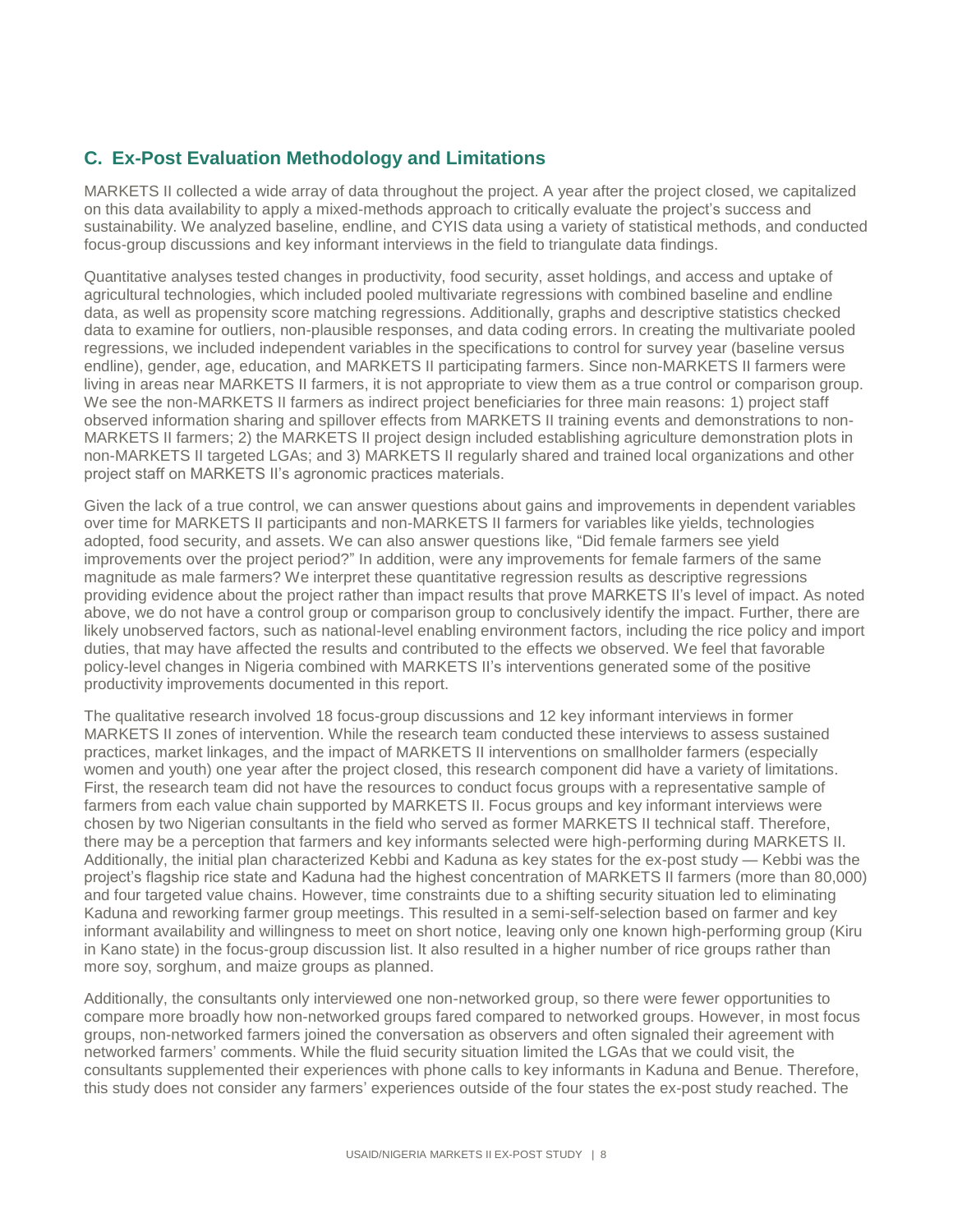## **C. Ex-Post Evaluation Methodology and Limitations**

MARKETS II collected a wide array of data throughout the project. A year after the project closed, we capitalized on this data availability to apply a mixed-methods approach to critically evaluate the project's success and sustainability. We analyzed baseline, endline, and CYIS data using a variety of statistical methods, and conducted focus-group discussions and key informant interviews in the field to triangulate data findings.

Quantitative analyses tested changes in productivity, food security, asset holdings, and access and uptake of agricultural technologies, which included pooled multivariate regressions with combined baseline and endline data, as well as propensity score matching regressions. Additionally, graphs and descriptive statistics checked data to examine for outliers, non-plausible responses, and data coding errors. In creating the multivariate pooled regressions, we included independent variables in the specifications to control for survey year (baseline versus endline), gender, age, education, and MARKETS II participating farmers. Since non-MARKETS II farmers were living in areas near MARKETS II farmers, it is not appropriate to view them as a true control or comparison group. We see the non-MARKETS II farmers as indirect project beneficiaries for three main reasons: 1) project staff observed information sharing and spillover effects from MARKETS II training events and demonstrations to non-MARKETS II farmers; 2) the MARKETS II project design included establishing agriculture demonstration plots in non-MARKETS II targeted LGAs; and 3) MARKETS II regularly shared and trained local organizations and other project staff on MARKETS II's agronomic practices materials.

Given the lack of a true control, we can answer questions about gains and improvements in dependent variables over time for MARKETS II participants and non-MARKETS II farmers for variables like yields, technologies adopted, food security, and assets. We can also answer questions like, "Did female farmers see yield improvements over the project period?" In addition, were any improvements for female farmers of the same magnitude as male farmers? We interpret these quantitative regression results as descriptive regressions providing evidence about the project rather than impact results that prove MARKETS II's level of impact. As noted above, we do not have a control group or comparison group to conclusively identify the impact. Further, there are likely unobserved factors, such as national-level enabling environment factors, including the rice policy and import duties, that may have affected the results and contributed to the effects we observed. We feel that favorable policy-level changes in Nigeria combined with MARKETS II's interventions generated some of the positive productivity improvements documented in this report.

The qualitative research involved 18 focus-group discussions and 12 key informant interviews in former MARKETS II zones of intervention. While the research team conducted these interviews to assess sustained practices, market linkages, and the impact of MARKETS II interventions on smallholder farmers (especially women and youth) one year after the project closed, this research component did have a variety of limitations. First, the research team did not have the resources to conduct focus groups with a representative sample of farmers from each value chain supported by MARKETS II. Focus groups and key informant interviews were chosen by two Nigerian consultants in the field who served as former MARKETS II technical staff. Therefore, there may be a perception that farmers and key informants selected were high-performing during MARKETS II. Additionally, the initial plan characterized Kebbi and Kaduna as key states for the ex-post study — Kebbi was the project's flagship rice state and Kaduna had the highest concentration of MARKETS II farmers (more than 80,000) and four targeted value chains. However, time constraints due to a shifting security situation led to eliminating Kaduna and reworking farmer group meetings. This resulted in a semi-self-selection based on farmer and key informant availability and willingness to meet on short notice, leaving only one known high-performing group (Kiru in Kano state) in the focus-group discussion list. It also resulted in a higher number of rice groups rather than more soy, sorghum, and maize groups as planned.

Additionally, the consultants only interviewed one non-networked group, so there were fewer opportunities to compare more broadly how non-networked groups fared compared to networked groups. However, in most focus groups, non-networked farmers joined the conversation as observers and often signaled their agreement with networked farmers' comments. While the fluid security situation limited the LGAs that we could visit, the consultants supplemented their experiences with phone calls to key informants in Kaduna and Benue. Therefore, this study does not consider any farmers' experiences outside of the four states the ex-post study reached. The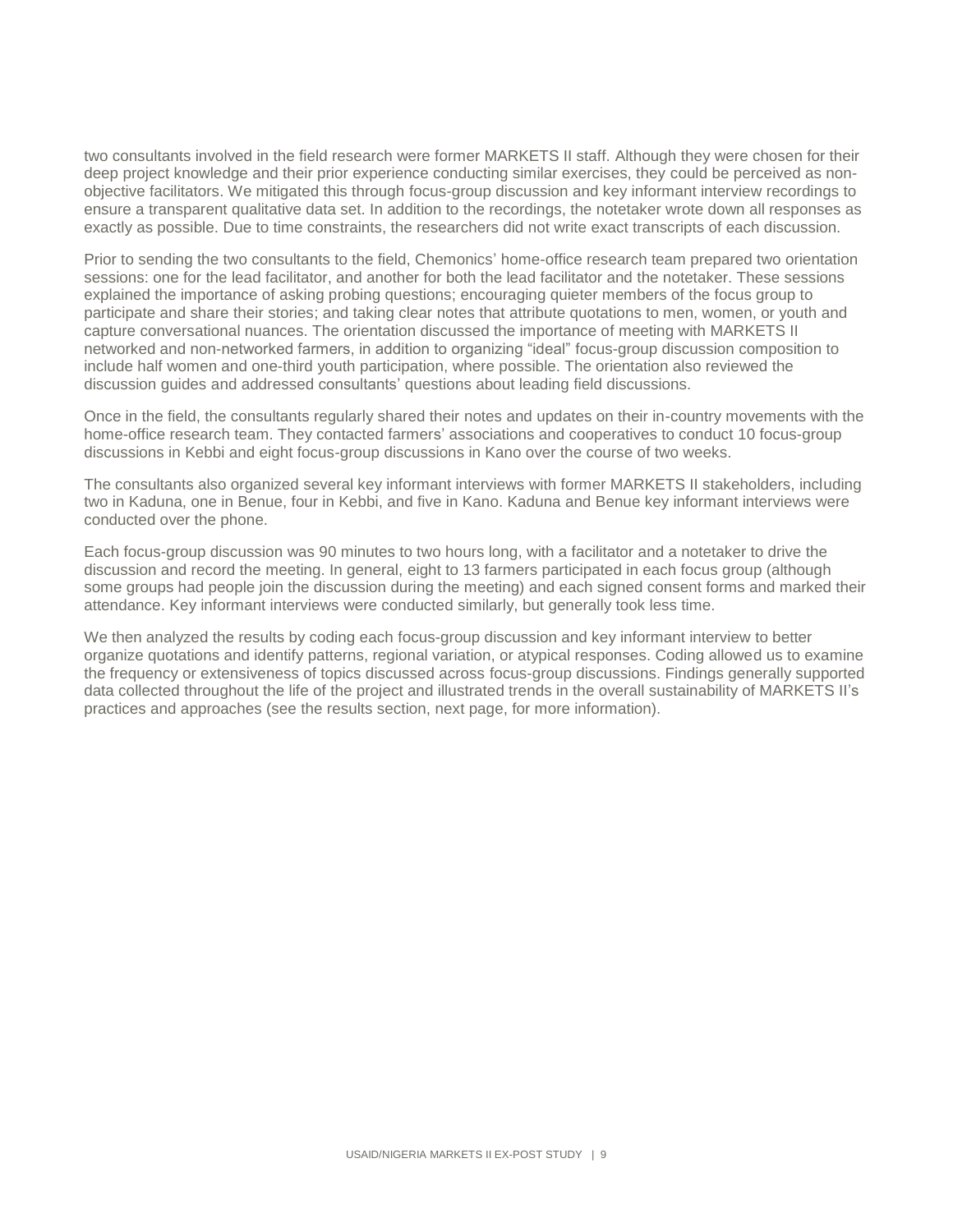two consultants involved in the field research were former MARKETS II staff. Although they were chosen for their deep project knowledge and their prior experience conducting similar exercises, they could be perceived as nonobjective facilitators. We mitigated this through focus-group discussion and key informant interview recordings to ensure a transparent qualitative data set. In addition to the recordings, the notetaker wrote down all responses as exactly as possible. Due to time constraints, the researchers did not write exact transcripts of each discussion.

Prior to sending the two consultants to the field, Chemonics' home-office research team prepared two orientation sessions: one for the lead facilitator, and another for both the lead facilitator and the notetaker. These sessions explained the importance of asking probing questions; encouraging quieter members of the focus group to participate and share their stories; and taking clear notes that attribute quotations to men, women, or youth and capture conversational nuances. The orientation discussed the importance of meeting with MARKETS II networked and non-networked farmers, in addition to organizing "ideal" focus-group discussion composition to include half women and one-third youth participation, where possible. The orientation also reviewed the discussion guides and addressed consultants' questions about leading field discussions.

Once in the field, the consultants regularly shared their notes and updates on their in-country movements with the home-office research team. They contacted farmers' associations and cooperatives to conduct 10 focus-group discussions in Kebbi and eight focus-group discussions in Kano over the course of two weeks.

The consultants also organized several key informant interviews with former MARKETS II stakeholders, including two in Kaduna, one in Benue, four in Kebbi, and five in Kano. Kaduna and Benue key informant interviews were conducted over the phone.

Each focus-group discussion was 90 minutes to two hours long, with a facilitator and a notetaker to drive the discussion and record the meeting. In general, eight to 13 farmers participated in each focus group (although some groups had people join the discussion during the meeting) and each signed consent forms and marked their attendance. Key informant interviews were conducted similarly, but generally took less time.

We then analyzed the results by coding each focus-group discussion and key informant interview to better organize quotations and identify patterns, regional variation, or atypical responses. Coding allowed us to examine the frequency or extensiveness of topics discussed across focus-group discussions. Findings generally supported data collected throughout the life of the project and illustrated trends in the overall sustainability of MARKETS II's practices and approaches (see the results section, next page, for more information).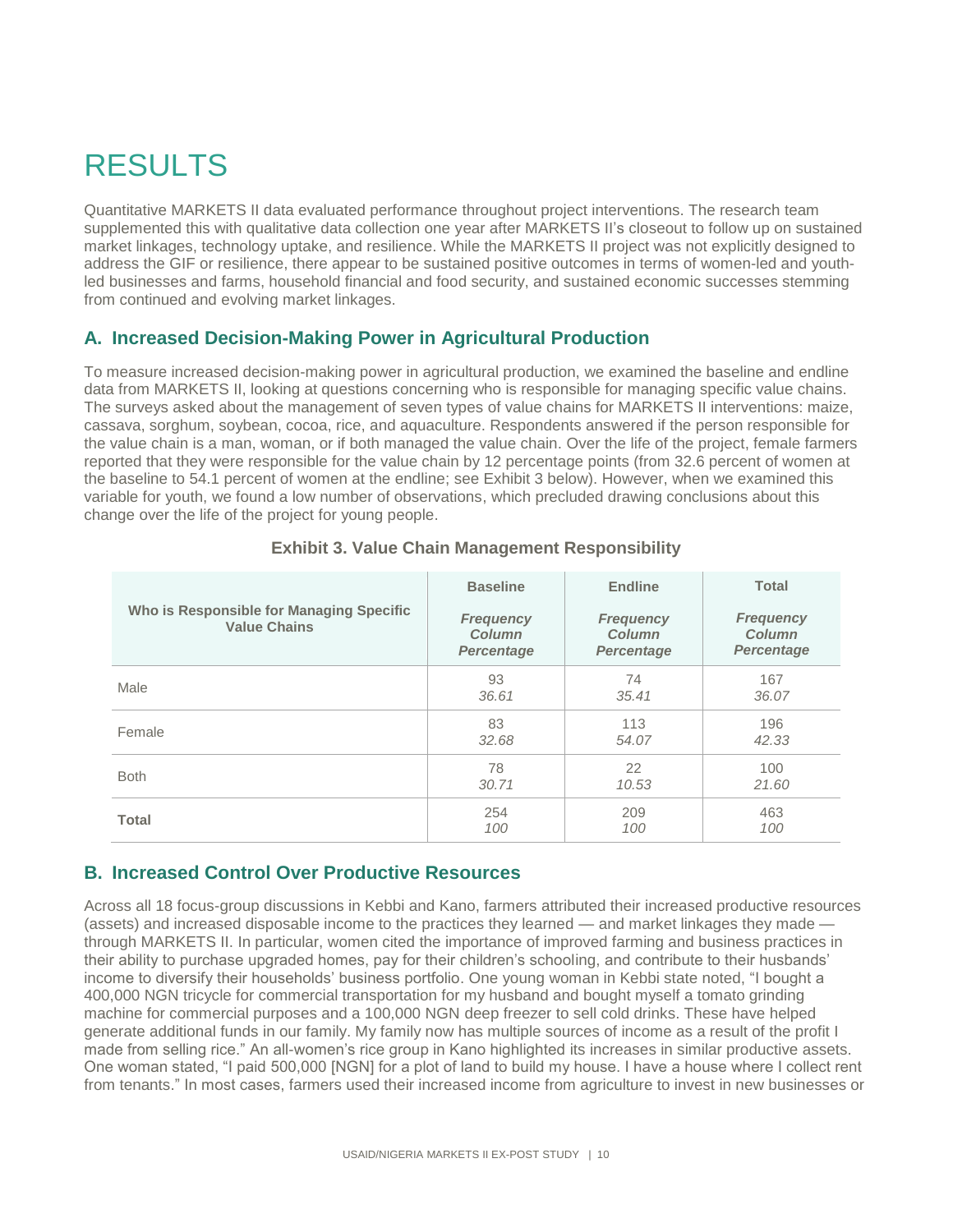## RESULTS

Quantitative MARKETS II data evaluated performance throughout project interventions. The research team supplemented this with qualitative data collection one year after MARKETS II's closeout to follow up on sustained market linkages, technology uptake, and resilience. While the MARKETS II project was not explicitly designed to address the GIF or resilience, there appear to be sustained positive outcomes in terms of women-led and youthled businesses and farms, household financial and food security, and sustained economic successes stemming from continued and evolving market linkages.

### **A. Increased Decision-Making Power in Agricultural Production**

To measure increased decision-making power in agricultural production, we examined the baseline and endline data from MARKETS II, looking at questions concerning who is responsible for managing specific value chains. The surveys asked about the management of seven types of value chains for MARKETS II interventions: maize, cassava, sorghum, soybean, cocoa, rice, and aquaculture. Respondents answered if the person responsible for the value chain is a man, woman, or if both managed the value chain. Over the life of the project, female farmers reported that they were responsible for the value chain by 12 percentage points (from 32.6 percent of women at the baseline to 54.1 percent of women at the endline; see Exhibit 3 below). However, when we examined this variable for youth, we found a low number of observations, which precluded drawing conclusions about this change over the life of the project for young people.

| Who is Responsible for Managing Specific<br><b>Value Chains</b> | <b>Baseline</b><br><b>Frequency</b><br>Column<br><b>Percentage</b> | <b>Endline</b><br><b>Frequency</b><br><b>Column</b><br><b>Percentage</b> | <b>Total</b><br><b>Frequency</b><br>Column<br><b>Percentage</b> |
|-----------------------------------------------------------------|--------------------------------------------------------------------|--------------------------------------------------------------------------|-----------------------------------------------------------------|
| Male                                                            | 93                                                                 | 74                                                                       | 167                                                             |
|                                                                 | 36.61                                                              | 35.41                                                                    | 36.07                                                           |
| Female                                                          | 83                                                                 | 113                                                                      | 196                                                             |
|                                                                 | 32.68                                                              | 54.07                                                                    | 42.33                                                           |
| <b>Both</b>                                                     | 78                                                                 | 22                                                                       | 100                                                             |
|                                                                 | 30.71                                                              | 10.53                                                                    | 21.60                                                           |
| <b>Total</b>                                                    | 254                                                                | 209                                                                      | 463                                                             |
|                                                                 | 100                                                                | 100                                                                      | 100                                                             |

#### **Exhibit 3. Value Chain Management Responsibility**

### **B. Increased Control Over Productive Resources**

Across all 18 focus-group discussions in Kebbi and Kano, farmers attributed their increased productive resources (assets) and increased disposable income to the practices they learned — and market linkages they made through MARKETS II. In particular, women cited the importance of improved farming and business practices in their ability to purchase upgraded homes, pay for their children's schooling, and contribute to their husbands' income to diversify their households' business portfolio. One young woman in Kebbi state noted, "I bought a 400,000 NGN tricycle for commercial transportation for my husband and bought myself a tomato grinding machine for commercial purposes and a 100,000 NGN deep freezer to sell cold drinks. These have helped generate additional funds in our family. My family now has multiple sources of income as a result of the profit I made from selling rice." An all-women's rice group in Kano highlighted its increases in similar productive assets. One woman stated, "I paid 500,000 [NGN] for a plot of land to build my house. I have a house where I collect rent from tenants." In most cases, farmers used their increased income from agriculture to invest in new businesses or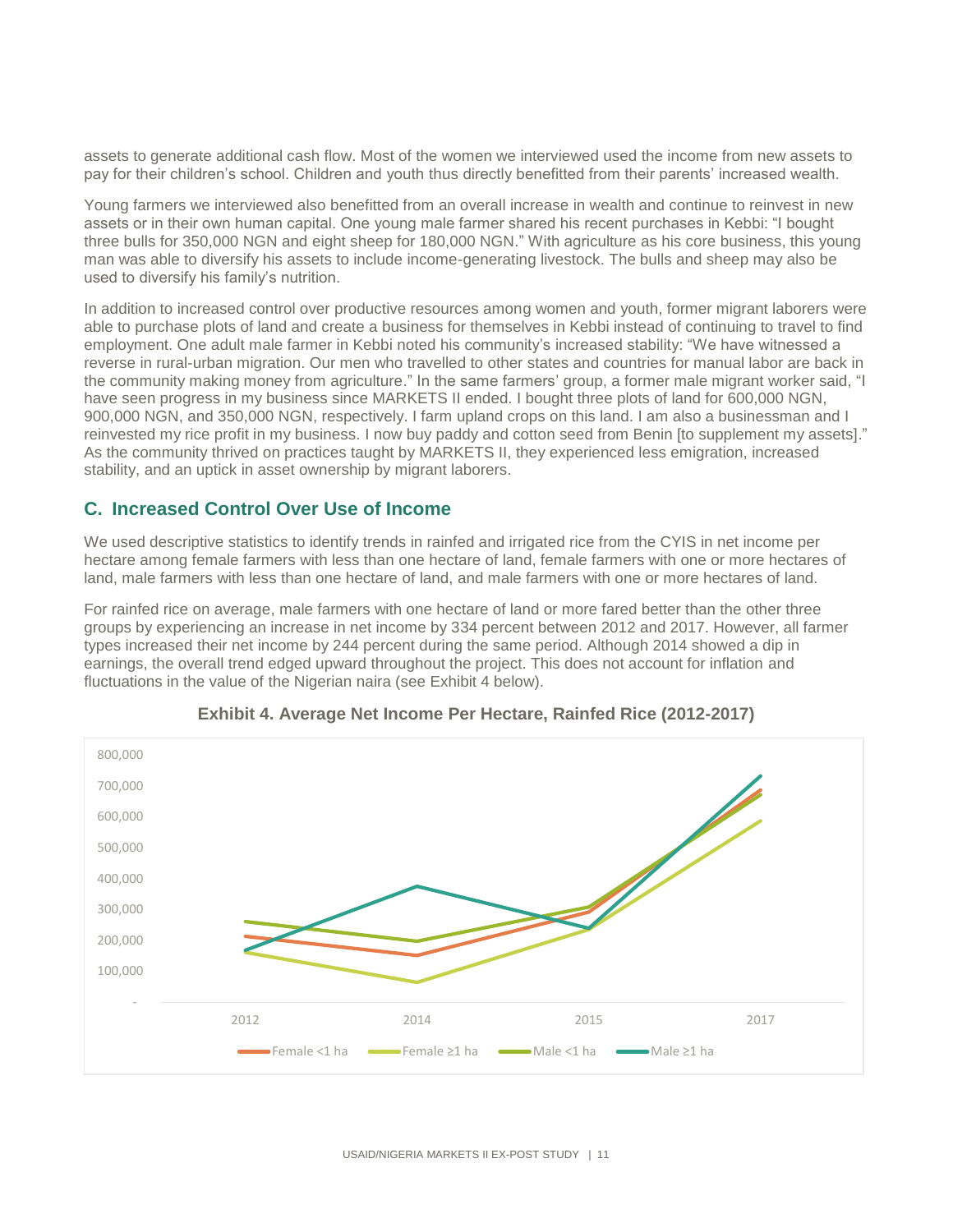assets to generate additional cash flow. Most of the women we interviewed used the income from new assets to pay for their children's school. Children and youth thus directly benefitted from their parents' increased wealth.

Young farmers we interviewed also benefitted from an overall increase in wealth and continue to reinvest in new assets or in their own human capital. One young male farmer shared his recent purchases in Kebbi: "I bought three bulls for 350,000 NGN and eight sheep for 180,000 NGN." With agriculture as his core business, this young man was able to diversify his assets to include income-generating livestock. The bulls and sheep may also be used to diversify his family's nutrition.

In addition to increased control over productive resources among women and youth, former migrant laborers were able to purchase plots of land and create a business for themselves in Kebbi instead of continuing to travel to find employment. One adult male farmer in Kebbi noted his community's increased stability: "We have witnessed a reverse in rural-urban migration. Our men who travelled to other states and countries for manual labor are back in the community making money from agriculture." In the same farmers' group, a former male migrant worker said, "I have seen progress in my business since MARKETS II ended. I bought three plots of land for 600,000 NGN, 900,000 NGN, and 350,000 NGN, respectively. I farm upland crops on this land. I am also a businessman and I reinvested my rice profit in my business. I now buy paddy and cotton seed from Benin [to supplement my assets]." As the community thrived on practices taught by MARKETS II, they experienced less emigration, increased stability, and an uptick in asset ownership by migrant laborers.

#### **C. Increased Control Over Use of Income**

We used descriptive statistics to identify trends in rainfed and irrigated rice from the CYIS in net income per hectare among female farmers with less than one hectare of land, female farmers with one or more hectares of land, male farmers with less than one hectare of land, and male farmers with one or more hectares of land.

For rainfed rice on average, male farmers with one hectare of land or more fared better than the other three groups by experiencing an increase in net income by 334 percent between 2012 and 2017. However, all farmer types increased their net income by 244 percent during the same period. Although 2014 showed a dip in earnings, the overall trend edged upward throughout the project. This does not account for inflation and fluctuations in the value of the Nigerian naira (see Exhibit 4 below).



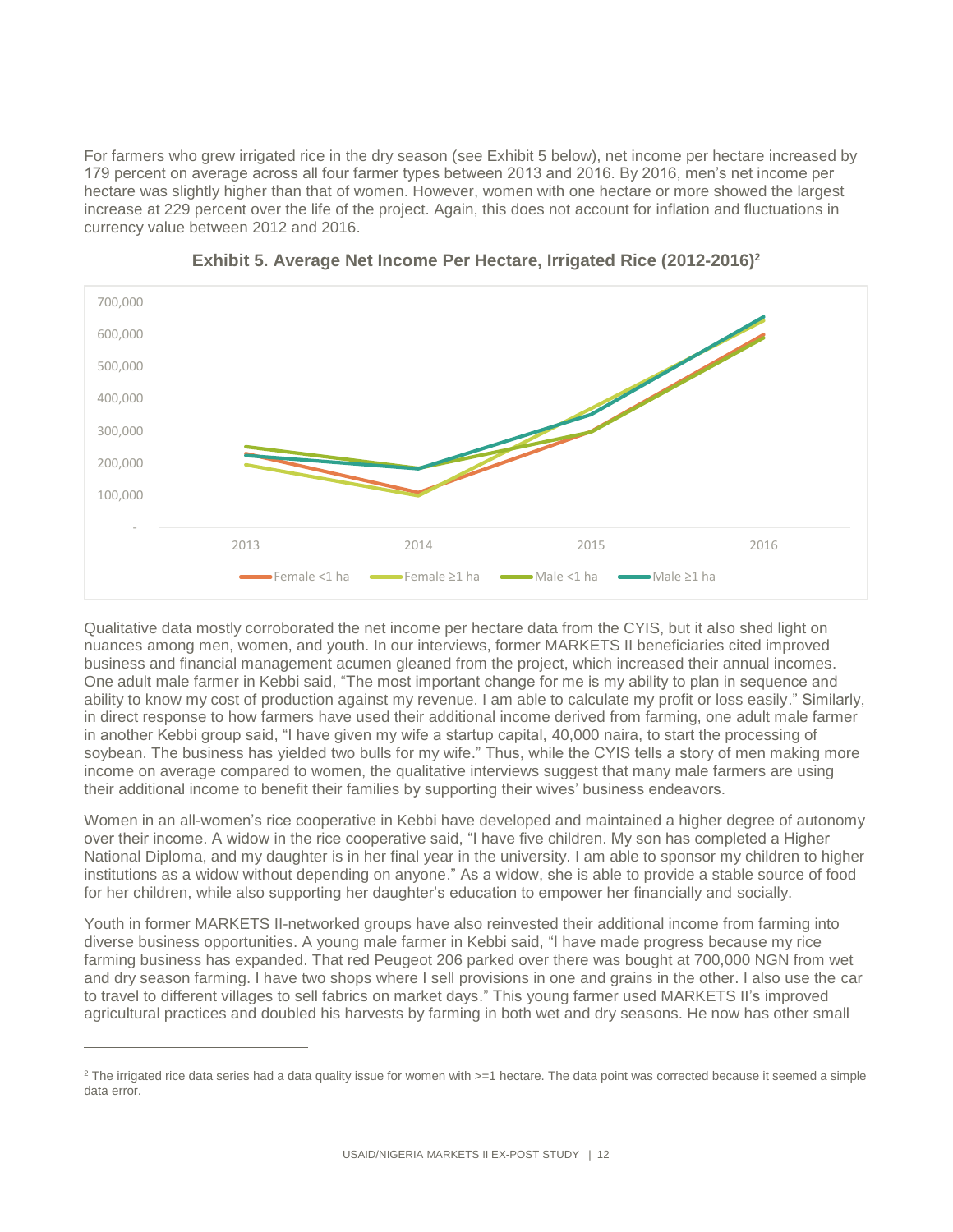For farmers who grew irrigated rice in the dry season (see Exhibit 5 below), net income per hectare increased by 179 percent on average across all four farmer types between 2013 and 2016. By 2016, men's net income per hectare was slightly higher than that of women. However, women with one hectare or more showed the largest increase at 229 percent over the life of the project. Again, this does not account for inflation and fluctuations in currency value between 2012 and 2016.





Qualitative data mostly corroborated the net income per hectare data from the CYIS, but it also shed light on nuances among men, women, and youth. In our interviews, former MARKETS II beneficiaries cited improved business and financial management acumen gleaned from the project, which increased their annual incomes. One adult male farmer in Kebbi said, "The most important change for me is my ability to plan in sequence and ability to know my cost of production against my revenue. I am able to calculate my profit or loss easily." Similarly, in direct response to how farmers have used their additional income derived from farming, one adult male farmer in another Kebbi group said, "I have given my wife a startup capital, 40,000 naira, to start the processing of soybean. The business has yielded two bulls for my wife." Thus, while the CYIS tells a story of men making more income on average compared to women, the qualitative interviews suggest that many male farmers are using their additional income to benefit their families by supporting their wives' business endeavors.

Women in an all-women's rice cooperative in Kebbi have developed and maintained a higher degree of autonomy over their income. A widow in the rice cooperative said, "I have five children. My son has completed a Higher National Diploma, and my daughter is in her final year in the university. I am able to sponsor my children to higher institutions as a widow without depending on anyone." As a widow, she is able to provide a stable source of food for her children, while also supporting her daughter's education to empower her financially and socially.

Youth in former MARKETS II-networked groups have also reinvested their additional income from farming into diverse business opportunities. A young male farmer in Kebbi said, "I have made progress because my rice farming business has expanded. That red Peugeot 206 parked over there was bought at 700,000 NGN from wet and dry season farming. I have two shops where I sell provisions in one and grains in the other. I also use the car to travel to different villages to sell fabrics on market days." This young farmer used MARKETS II's improved agricultural practices and doubled his harvests by farming in both wet and dry seasons. He now has other small

 $\overline{a}$ 

 $2$  The irrigated rice data series had a data quality issue for women with  $>=1$  hectare. The data point was corrected because it seemed a simple data error.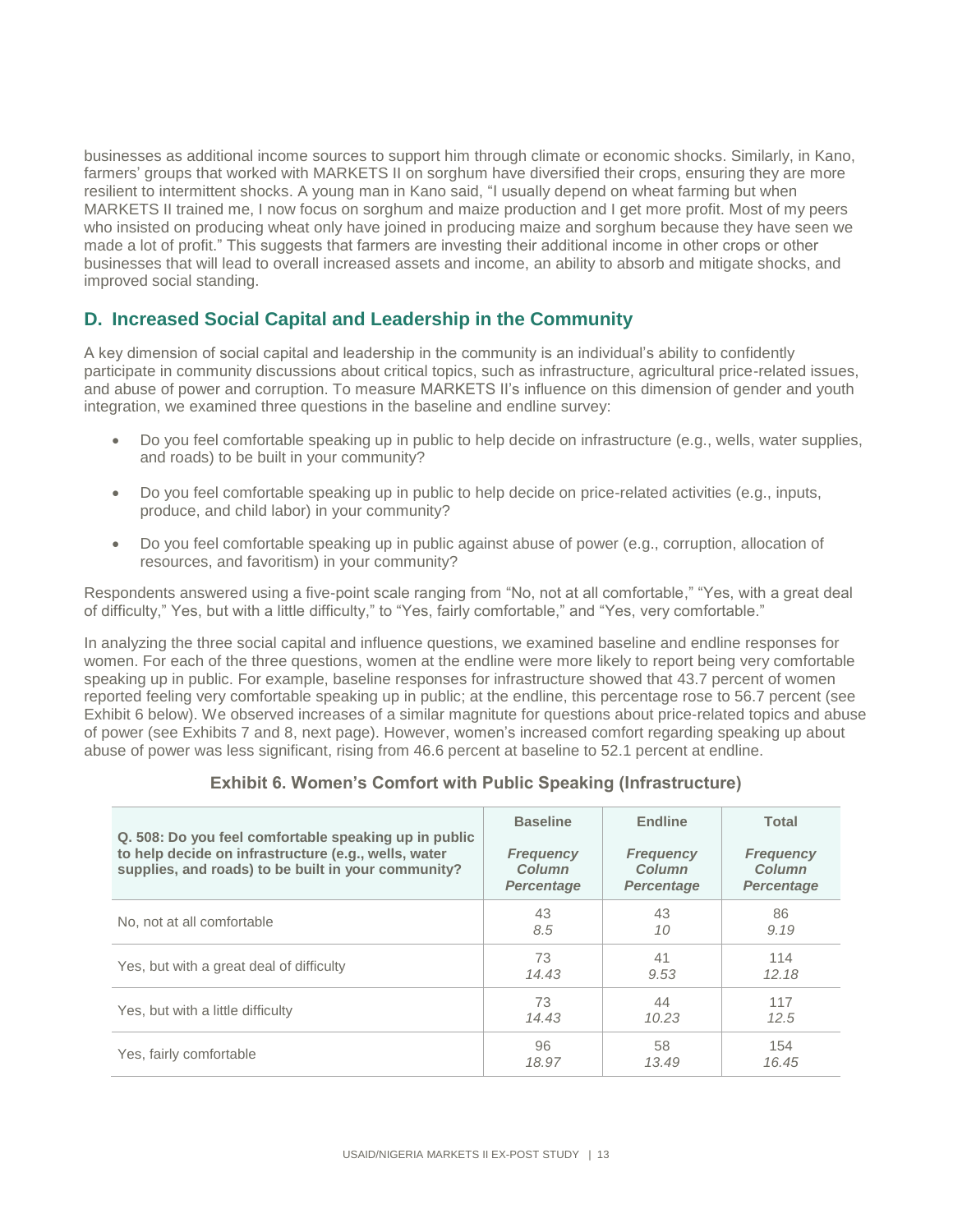businesses as additional income sources to support him through climate or economic shocks. Similarly, in Kano, farmers' groups that worked with MARKETS II on sorghum have diversified their crops, ensuring they are more resilient to intermittent shocks. A young man in Kano said, "I usually depend on wheat farming but when MARKETS II trained me, I now focus on sorghum and maize production and I get more profit. Most of my peers who insisted on producing wheat only have joined in producing maize and sorghum because they have seen we made a lot of profit." This suggests that farmers are investing their additional income in other crops or other businesses that will lead to overall increased assets and income, an ability to absorb and mitigate shocks, and improved social standing.

## **D. Increased Social Capital and Leadership in the Community**

A key dimension of social capital and leadership in the community is an individual's ability to confidently participate in community discussions about critical topics, such as infrastructure, agricultural price-related issues, and abuse of power and corruption. To measure MARKETS II's influence on this dimension of gender and youth integration, we examined three questions in the baseline and endline survey:

- Do you feel comfortable speaking up in public to help decide on infrastructure (e.g., wells, water supplies, and roads) to be built in your community?
- Do you feel comfortable speaking up in public to help decide on price-related activities (e.g., inputs, produce, and child labor) in your community?
- Do you feel comfortable speaking up in public against abuse of power (e.g., corruption, allocation of resources, and favoritism) in your community?

Respondents answered using a five-point scale ranging from "No, not at all comfortable," "Yes, with a great deal of difficulty," Yes, but with a little difficulty," to "Yes, fairly comfortable," and "Yes, very comfortable."

In analyzing the three social capital and influence questions, we examined baseline and endline responses for women. For each of the three questions, women at the endline were more likely to report being very comfortable speaking up in public. For example, baseline responses for infrastructure showed that 43.7 percent of women reported feeling very comfortable speaking up in public; at the endline, this percentage rose to 56.7 percent (see Exhibit 6 below). We observed increases of a similar magnitute for questions about price-related topics and abuse of power (see Exhibits 7 and 8, next page). However, women's increased comfort regarding speaking up about abuse of power was less significant, rising from 46.6 percent at baseline to 52.1 percent at endline.

#### **Exhibit 6. Women's Comfort with Public Speaking (Infrastructure)**

| Q. 508: Do you feel comfortable speaking up in public<br>to help decide on infrastructure (e.g., wells, water<br>supplies, and roads) to be built in your community? | <b>Baseline</b><br><b>Frequency</b><br>Column<br><b>Percentage</b> | <b>Endline</b><br><b>Frequency</b><br>Column<br><b>Percentage</b> | <b>Total</b><br><b>Frequency</b><br>Column<br><b>Percentage</b> |
|----------------------------------------------------------------------------------------------------------------------------------------------------------------------|--------------------------------------------------------------------|-------------------------------------------------------------------|-----------------------------------------------------------------|
| No, not at all comfortable                                                                                                                                           | 43                                                                 | 43                                                                | 86                                                              |
|                                                                                                                                                                      | 8.5                                                                | 10                                                                | 9.19                                                            |
| Yes, but with a great deal of difficulty                                                                                                                             | 73                                                                 | 41                                                                | 114                                                             |
|                                                                                                                                                                      | 14.43                                                              | 9.53                                                              | 12.18                                                           |
| Yes, but with a little difficulty                                                                                                                                    | 73                                                                 | 44                                                                | 117                                                             |
|                                                                                                                                                                      | 14.43                                                              | 10.23                                                             | 12.5                                                            |
| Yes, fairly comfortable                                                                                                                                              | 96                                                                 | 58                                                                | 154                                                             |
|                                                                                                                                                                      | 18.97                                                              | 13.49                                                             | 16.45                                                           |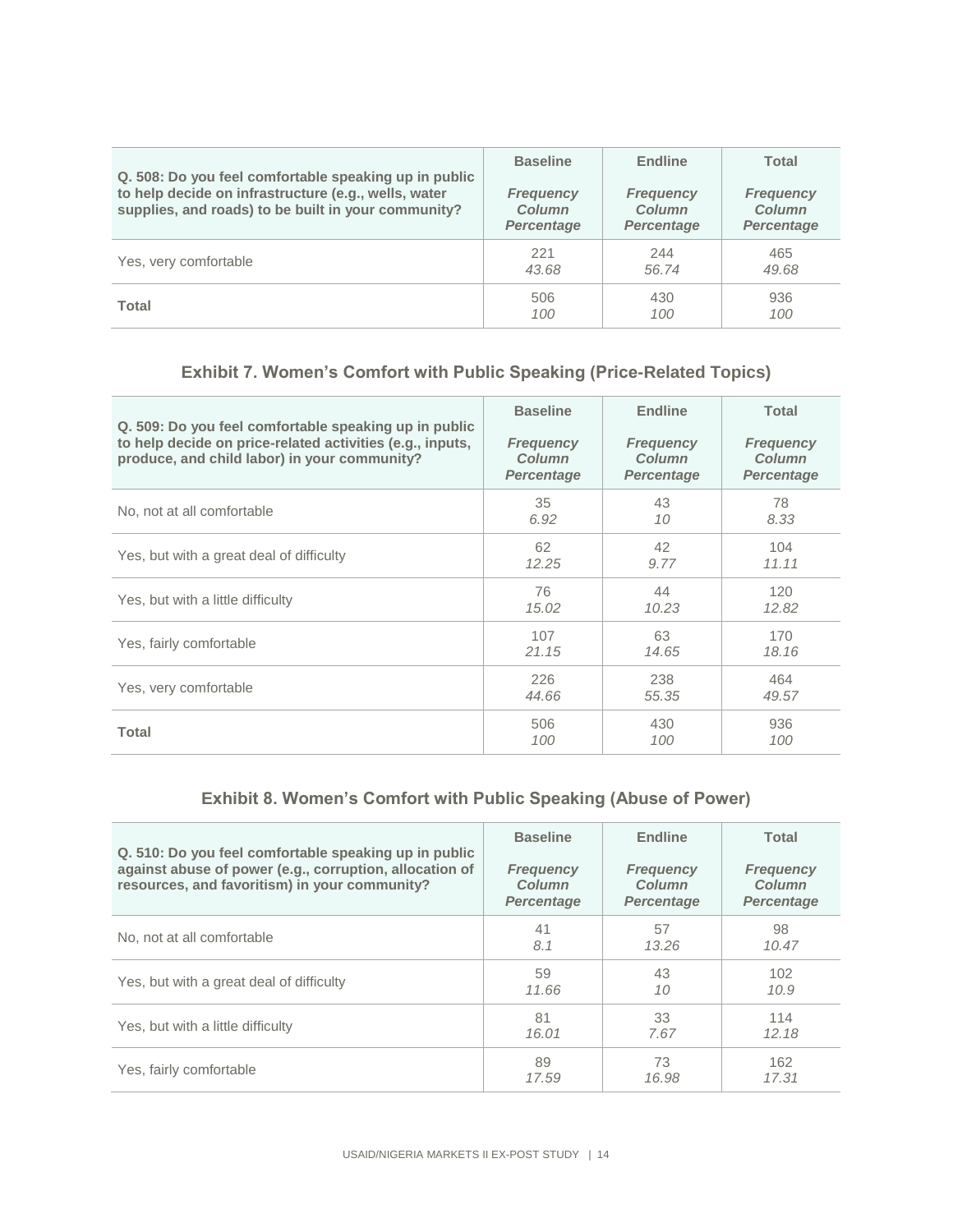|                                                       | <b>Baseline</b>   | <b>Endline</b>    | <b>Total</b>      |
|-------------------------------------------------------|-------------------|-------------------|-------------------|
| Q. 508: Do you feel comfortable speaking up in public | <b>Frequency</b>  | <b>Frequency</b>  | <b>Frequency</b>  |
| to help decide on infrastructure (e.g., wells, water  | <b>Column</b>     | <b>Column</b>     | <b>Column</b>     |
| supplies, and roads) to be built in your community?   | <b>Percentage</b> | <b>Percentage</b> | <b>Percentage</b> |
| Yes, very comfortable                                 | 221               | 244               | 465               |
|                                                       | 43.68             | 56.74             | 49.68             |
| Total                                                 | 506               | 430               | 936               |
|                                                       | 100               | 100               | 100               |

## **Exhibit 7. Women's Comfort with Public Speaking (Price-Related Topics)**

| Q. 509: Do you feel comfortable speaking up in public<br>to help decide on price-related activities (e.g., inputs,<br>produce, and child labor) in your community? | <b>Baseline</b><br><b>Frequency</b><br>Column<br><b>Percentage</b> | <b>Endline</b><br><b>Frequency</b><br>Column<br><b>Percentage</b> | <b>Total</b><br><b>Frequency</b><br>Column<br><b>Percentage</b> |
|--------------------------------------------------------------------------------------------------------------------------------------------------------------------|--------------------------------------------------------------------|-------------------------------------------------------------------|-----------------------------------------------------------------|
| No, not at all comfortable                                                                                                                                         | 35                                                                 | 43                                                                | 78                                                              |
|                                                                                                                                                                    | 6.92                                                               | 10                                                                | 8.33                                                            |
| Yes, but with a great deal of difficulty                                                                                                                           | 62                                                                 | 42                                                                | 104                                                             |
|                                                                                                                                                                    | 12.25                                                              | 9.77                                                              | 11.11                                                           |
| Yes, but with a little difficulty                                                                                                                                  | 76                                                                 | 44                                                                | 120                                                             |
|                                                                                                                                                                    | 15.02                                                              | 10.23                                                             | 12.82                                                           |
| Yes, fairly comfortable                                                                                                                                            | 107                                                                | 63                                                                | 170                                                             |
|                                                                                                                                                                    | 21.15                                                              | 14.65                                                             | 18.16                                                           |
| Yes, very comfortable                                                                                                                                              | 226                                                                | 238                                                               | 464                                                             |
|                                                                                                                                                                    | 44.66                                                              | 55.35                                                             | 49.57                                                           |
| Total                                                                                                                                                              | 506                                                                | 430                                                               | 936                                                             |
|                                                                                                                                                                    | 100                                                                | 100                                                               | 100                                                             |

## **Exhibit 8. Women's Comfort with Public Speaking (Abuse of Power)**

| Q. 510: Do you feel comfortable speaking up in public<br>against abuse of power (e.g., corruption, allocation of<br>resources, and favoritism) in your community? | <b>Baseline</b><br><b>Frequency</b><br>Column<br><b>Percentage</b> | <b>Endline</b><br><b>Frequency</b><br>Column<br><b>Percentage</b> | Total<br><b>Frequency</b><br>Column<br><b>Percentage</b> |
|-------------------------------------------------------------------------------------------------------------------------------------------------------------------|--------------------------------------------------------------------|-------------------------------------------------------------------|----------------------------------------------------------|
| No, not at all comfortable                                                                                                                                        | 41                                                                 | 57                                                                | 98                                                       |
|                                                                                                                                                                   | 8.1                                                                | 13.26                                                             | 10.47                                                    |
| Yes, but with a great deal of difficulty                                                                                                                          | 59                                                                 | 43                                                                | 102                                                      |
|                                                                                                                                                                   | 11.66                                                              | 10                                                                | 10.9                                                     |
| Yes, but with a little difficulty                                                                                                                                 | 81                                                                 | 33                                                                | 114                                                      |
|                                                                                                                                                                   | 16.01                                                              | 7.67                                                              | 12.18                                                    |
| Yes, fairly comfortable                                                                                                                                           | 89                                                                 | 73                                                                | 162                                                      |
|                                                                                                                                                                   | 17.59                                                              | 16.98                                                             | 17.31                                                    |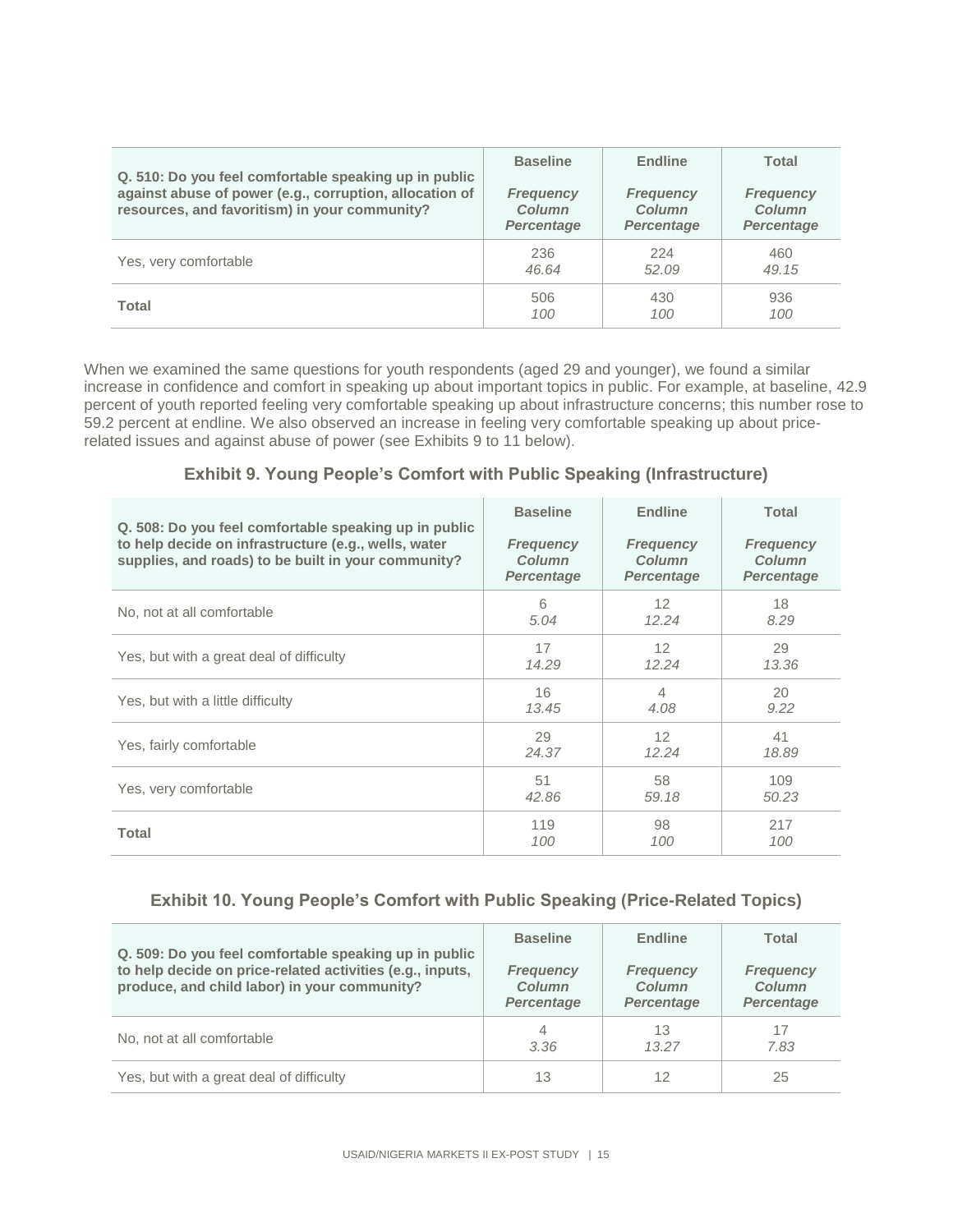| Q. 510: Do you feel comfortable speaking up in public<br>against abuse of power (e.g., corruption, allocation of<br>resources, and favoritism) in your community? | <b>Baseline</b><br><b>Frequency</b><br><b>Column</b><br><b>Percentage</b> | <b>Endline</b><br><b>Frequency</b><br><b>Column</b><br><b>Percentage</b> | <b>Total</b><br><b>Frequency</b><br>Column<br><b>Percentage</b> |
|-------------------------------------------------------------------------------------------------------------------------------------------------------------------|---------------------------------------------------------------------------|--------------------------------------------------------------------------|-----------------------------------------------------------------|
| Yes, very comfortable                                                                                                                                             | 236                                                                       | 224                                                                      | 460                                                             |
|                                                                                                                                                                   | 46.64                                                                     | 52.09                                                                    | 49.15                                                           |
| <b>Total</b>                                                                                                                                                      | 506                                                                       | 430                                                                      | 936                                                             |
|                                                                                                                                                                   | 100                                                                       | 100                                                                      | 100                                                             |

When we examined the same questions for youth respondents (aged 29 and younger), we found a similar increase in confidence and comfort in speaking up about important topics in public. For example, at baseline, 42.9 percent of youth reported feeling very comfortable speaking up about infrastructure concerns; this number rose to 59.2 percent at endline. We also observed an increase in feeling very comfortable speaking up about pricerelated issues and against abuse of power (see Exhibits 9 to 11 below).

#### **Exhibit 9. Young People's Comfort with Public Speaking (Infrastructure)**

| Q. 508: Do you feel comfortable speaking up in public<br>to help decide on infrastructure (e.g., wells, water<br>supplies, and roads) to be built in your community? | <b>Baseline</b><br><b>Frequency</b><br>Column<br><b>Percentage</b> | <b>Endline</b><br><b>Frequency</b><br>Column<br><b>Percentage</b> | <b>Total</b><br><b>Frequency</b><br>Column<br><b>Percentage</b> |
|----------------------------------------------------------------------------------------------------------------------------------------------------------------------|--------------------------------------------------------------------|-------------------------------------------------------------------|-----------------------------------------------------------------|
| No, not at all comfortable                                                                                                                                           | 6                                                                  | 12 <sup>°</sup>                                                   | 18                                                              |
|                                                                                                                                                                      | 5.04                                                               | 12.24                                                             | 8.29                                                            |
| Yes, but with a great deal of difficulty                                                                                                                             | 17                                                                 | 12 <sup>2</sup>                                                   | 29                                                              |
|                                                                                                                                                                      | 14.29                                                              | 12.24                                                             | 13.36                                                           |
| Yes, but with a little difficulty                                                                                                                                    | 16                                                                 | $\overline{4}$                                                    | 20                                                              |
|                                                                                                                                                                      | 13.45                                                              | 4.08                                                              | 9.22                                                            |
| Yes, fairly comfortable                                                                                                                                              | 29                                                                 | 12                                                                | 41                                                              |
|                                                                                                                                                                      | 24.37                                                              | 12.24                                                             | 18.89                                                           |
| Yes, very comfortable                                                                                                                                                | 51                                                                 | 58                                                                | 109                                                             |
|                                                                                                                                                                      | 42.86                                                              | 59.18                                                             | 50.23                                                           |
| <b>Total</b>                                                                                                                                                         | 119                                                                | 98                                                                | 217                                                             |
|                                                                                                                                                                      | 100                                                                | 100                                                               | 100                                                             |

#### **Exhibit 10. Young People's Comfort with Public Speaking (Price-Related Topics)**

| Q. 509: Do you feel comfortable speaking up in public<br>to help decide on price-related activities (e.g., inputs,<br>produce, and child labor) in your community? | <b>Baseline</b><br><b>Frequency</b><br><b>Column</b><br><b>Percentage</b> | <b>Endline</b><br><b>Frequency</b><br>Column<br><b>Percentage</b> | Total<br><b>Frequency</b><br><b>Column</b><br><b>Percentage</b> |
|--------------------------------------------------------------------------------------------------------------------------------------------------------------------|---------------------------------------------------------------------------|-------------------------------------------------------------------|-----------------------------------------------------------------|
| No, not at all comfortable                                                                                                                                         | 4<br>3.36                                                                 | 13<br>13.27                                                       | 17<br>7.83                                                      |
| Yes, but with a great deal of difficulty                                                                                                                           | 13                                                                        | 12                                                                | 25                                                              |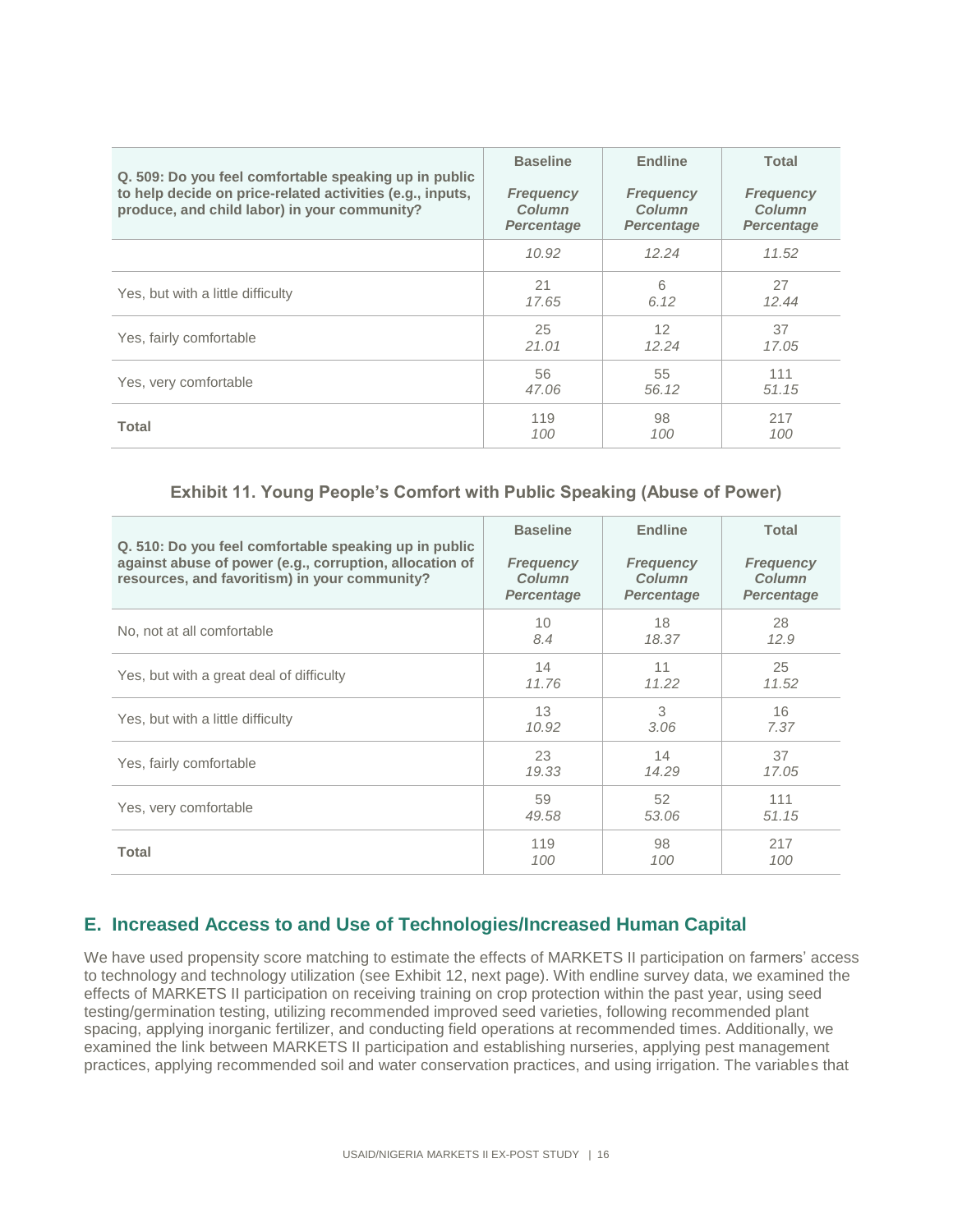| Q. 509: Do you feel comfortable speaking up in public<br>to help decide on price-related activities (e.g., inputs,<br>produce, and child labor) in your community? | <b>Baseline</b><br><b>Frequency</b><br><b>Column</b><br><b>Percentage</b> | <b>Endline</b><br><b>Frequency</b><br>Column<br><b>Percentage</b> | Total<br><b>Frequency</b><br>Column<br><b>Percentage</b> |
|--------------------------------------------------------------------------------------------------------------------------------------------------------------------|---------------------------------------------------------------------------|-------------------------------------------------------------------|----------------------------------------------------------|
|                                                                                                                                                                    | 10.92                                                                     | 12.24                                                             | 11.52                                                    |
| Yes, but with a little difficulty                                                                                                                                  | 21                                                                        | 6                                                                 | 27                                                       |
|                                                                                                                                                                    | 17.65                                                                     | 6.12                                                              | 12.44                                                    |
| Yes, fairly comfortable                                                                                                                                            | 25                                                                        | $12 \overline{ }$                                                 | 37                                                       |
|                                                                                                                                                                    | 21.01                                                                     | 12.24                                                             | 17.05                                                    |
| Yes, very comfortable                                                                                                                                              | 56                                                                        | 55                                                                | 111                                                      |
|                                                                                                                                                                    | 47.06                                                                     | 56.12                                                             | 51.15                                                    |
| <b>Total</b>                                                                                                                                                       | 119                                                                       | 98                                                                | 217                                                      |
|                                                                                                                                                                    | 100                                                                       | 100                                                               | 100                                                      |

#### **Exhibit 11. Young People's Comfort with Public Speaking (Abuse of Power)**

| Q. 510: Do you feel comfortable speaking up in public<br>against abuse of power (e.g., corruption, allocation of<br>resources, and favoritism) in your community? | <b>Baseline</b><br><b>Frequency</b><br><b>Column</b><br><b>Percentage</b> | <b>Endline</b><br><b>Frequency</b><br><b>Column</b><br><b>Percentage</b> | <b>Total</b><br><b>Frequency</b><br><b>Column</b><br><b>Percentage</b> |
|-------------------------------------------------------------------------------------------------------------------------------------------------------------------|---------------------------------------------------------------------------|--------------------------------------------------------------------------|------------------------------------------------------------------------|
| No, not at all comfortable                                                                                                                                        | 10                                                                        | 18                                                                       | 28                                                                     |
|                                                                                                                                                                   | 8.4                                                                       | 18.37                                                                    | 12.9                                                                   |
| Yes, but with a great deal of difficulty                                                                                                                          | 14                                                                        | 11                                                                       | 25                                                                     |
|                                                                                                                                                                   | 11.76                                                                     | 11.22                                                                    | 11.52                                                                  |
| Yes, but with a little difficulty                                                                                                                                 | 13                                                                        | 3                                                                        | 16                                                                     |
|                                                                                                                                                                   | 10.92                                                                     | 3.06                                                                     | 7.37                                                                   |
| Yes, fairly comfortable                                                                                                                                           | 23                                                                        | 14                                                                       | 37                                                                     |
|                                                                                                                                                                   | 19.33                                                                     | 14.29                                                                    | 17.05                                                                  |
| Yes, very comfortable                                                                                                                                             | 59                                                                        | 52                                                                       | 111                                                                    |
|                                                                                                                                                                   | 49.58                                                                     | 53.06                                                                    | 51.15                                                                  |
| <b>Total</b>                                                                                                                                                      | 119                                                                       | 98                                                                       | 217                                                                    |
|                                                                                                                                                                   | 100                                                                       | 100                                                                      | 100                                                                    |

## **E. Increased Access to and Use of Technologies/Increased Human Capital**

We have used propensity score matching to estimate the effects of MARKETS II participation on farmers' access to technology and technology utilization (see Exhibit 12, next page). With endline survey data, we examined the effects of MARKETS II participation on receiving training on crop protection within the past year, using seed testing/germination testing, utilizing recommended improved seed varieties, following recommended plant spacing, applying inorganic fertilizer, and conducting field operations at recommended times. Additionally, we examined the link between MARKETS II participation and establishing nurseries, applying pest management practices, applying recommended soil and water conservation practices, and using irrigation. The variables that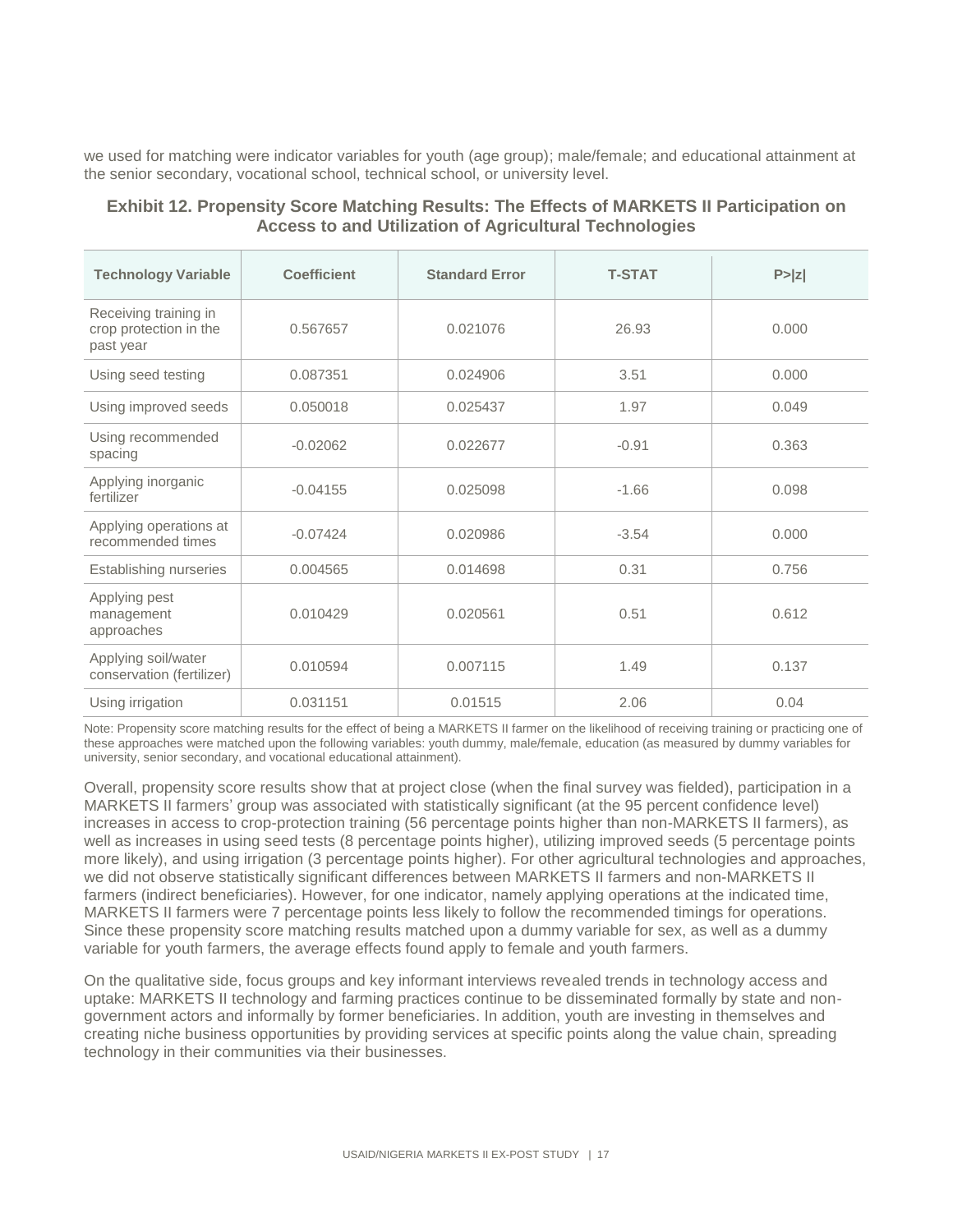we used for matching were indicator variables for youth (age group); male/female; and educational attainment at the senior secondary, vocational school, technical school, or university level.

#### **Exhibit 12. Propensity Score Matching Results: The Effects of MARKETS II Participation on Access to and Utilization of Agricultural Technologies**

| <b>Technology Variable</b>                                   | <b>Coefficient</b> | <b>Standard Error</b> | <b>T-STAT</b> | P >  z |
|--------------------------------------------------------------|--------------------|-----------------------|---------------|--------|
| Receiving training in<br>crop protection in the<br>past year | 0.567657           | 0.021076              | 26.93         | 0.000  |
| Using seed testing                                           | 0.087351           | 0.024906              | 3.51          | 0.000  |
| Using improved seeds                                         | 0.050018           | 0.025437              | 1.97          | 0.049  |
| Using recommended<br>spacing                                 | $-0.02062$         | 0.022677              | $-0.91$       | 0.363  |
| Applying inorganic<br>fertilizer                             | $-0.04155$         | 0.025098              | $-1.66$       | 0.098  |
| Applying operations at<br>recommended times                  | $-0.07424$         | 0.020986              | $-3.54$       | 0.000  |
| Establishing nurseries                                       | 0.004565           | 0.014698              | 0.31          | 0.756  |
| Applying pest<br>management<br>approaches                    | 0.010429           | 0.020561              | 0.51          | 0.612  |
| Applying soil/water<br>conservation (fertilizer)             | 0.010594           | 0.007115              | 1.49          | 0.137  |
| Using irrigation                                             | 0.031151           | 0.01515               | 2.06          | 0.04   |

Note: Propensity score matching results for the effect of being a MARKETS II farmer on the likelihood of receiving training or practicing one of these approaches were matched upon the following variables: youth dummy, male/female, education (as measured by dummy variables for university, senior secondary, and vocational educational attainment).

Overall, propensity score results show that at project close (when the final survey was fielded), participation in a MARKETS II farmers' group was associated with statistically significant (at the 95 percent confidence level) increases in access to crop-protection training (56 percentage points higher than non-MARKETS II farmers), as well as increases in using seed tests (8 percentage points higher), utilizing improved seeds (5 percentage points more likely), and using irrigation (3 percentage points higher). For other agricultural technologies and approaches, we did not observe statistically significant differences between MARKETS II farmers and non-MARKETS II farmers (indirect beneficiaries). However, for one indicator, namely applying operations at the indicated time, MARKETS II farmers were 7 percentage points less likely to follow the recommended timings for operations. Since these propensity score matching results matched upon a dummy variable for sex, as well as a dummy variable for youth farmers, the average effects found apply to female and youth farmers.

On the qualitative side, focus groups and key informant interviews revealed trends in technology access and uptake: MARKETS II technology and farming practices continue to be disseminated formally by state and nongovernment actors and informally by former beneficiaries. In addition, youth are investing in themselves and creating niche business opportunities by providing services at specific points along the value chain, spreading technology in their communities via their businesses.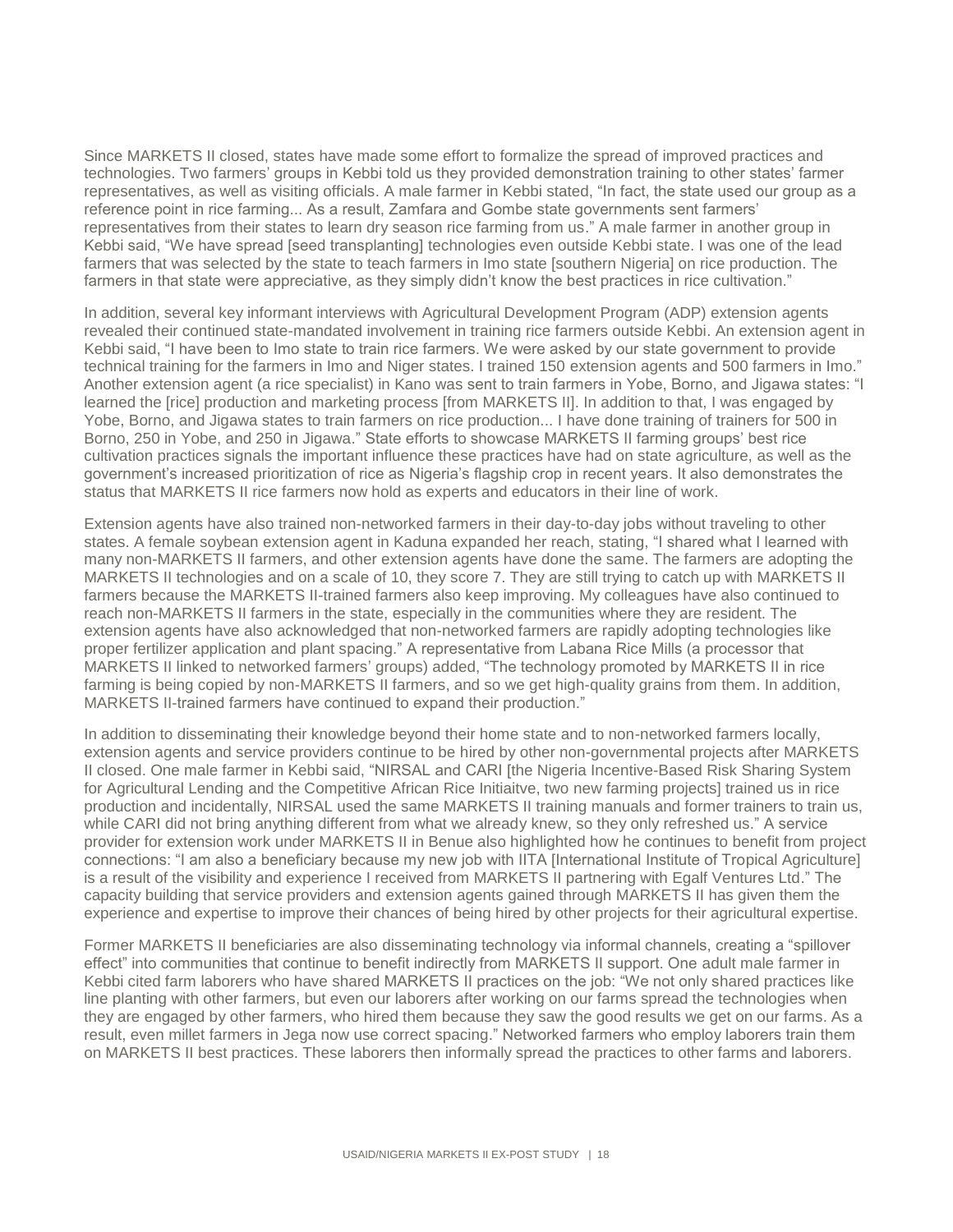Since MARKETS II closed, states have made some effort to formalize the spread of improved practices and technologies. Two farmers' groups in Kebbi told us they provided demonstration training to other states' farmer representatives, as well as visiting officials. A male farmer in Kebbi stated, "In fact, the state used our group as a reference point in rice farming... As a result, Zamfara and Gombe state governments sent farmers' representatives from their states to learn dry season rice farming from us." A male farmer in another group in Kebbi said, "We have spread [seed transplanting] technologies even outside Kebbi state. I was one of the lead farmers that was selected by the state to teach farmers in Imo state [southern Nigeria] on rice production. The farmers in that state were appreciative, as they simply didn't know the best practices in rice cultivation."

In addition, several key informant interviews with Agricultural Development Program (ADP) extension agents revealed their continued state-mandated involvement in training rice farmers outside Kebbi. An extension agent in Kebbi said, "I have been to Imo state to train rice farmers. We were asked by our state government to provide technical training for the farmers in Imo and Niger states. I trained 150 extension agents and 500 farmers in Imo." Another extension agent (a rice specialist) in Kano was sent to train farmers in Yobe, Borno, and Jigawa states: "I learned the [rice] production and marketing process [from MARKETS II]. In addition to that, I was engaged by Yobe, Borno, and Jigawa states to train farmers on rice production... I have done training of trainers for 500 in Borno, 250 in Yobe, and 250 in Jigawa." State efforts to showcase MARKETS II farming groups' best rice cultivation practices signals the important influence these practices have had on state agriculture, as well as the government's increased prioritization of rice as Nigeria's flagship crop in recent years. It also demonstrates the status that MARKETS II rice farmers now hold as experts and educators in their line of work.

Extension agents have also trained non-networked farmers in their day-to-day jobs without traveling to other states. A female soybean extension agent in Kaduna expanded her reach, stating, "I shared what I learned with many non-MARKETS II farmers, and other extension agents have done the same. The farmers are adopting the MARKETS II technologies and on a scale of 10, they score 7. They are still trying to catch up with MARKETS II farmers because the MARKETS II-trained farmers also keep improving. My colleagues have also continued to reach non-MARKETS II farmers in the state, especially in the communities where they are resident. The extension agents have also acknowledged that non-networked farmers are rapidly adopting technologies like proper fertilizer application and plant spacing." A representative from Labana Rice Mills (a processor that MARKETS II linked to networked farmers' groups) added, "The technology promoted by MARKETS II in rice farming is being copied by non-MARKETS II farmers, and so we get high-quality grains from them. In addition, MARKETS II-trained farmers have continued to expand their production."

In addition to disseminating their knowledge beyond their home state and to non-networked farmers locally, extension agents and service providers continue to be hired by other non-governmental projects after MARKETS II closed. One male farmer in Kebbi said, "NIRSAL and CARI [the Nigeria Incentive-Based Risk Sharing System for Agricultural Lending and the Competitive African Rice Initiaitve, two new farming projects] trained us in rice production and incidentally, NIRSAL used the same MARKETS II training manuals and former trainers to train us, while CARI did not bring anything different from what we already knew, so they only refreshed us." A service provider for extension work under MARKETS II in Benue also highlighted how he continues to benefit from project connections: "I am also a beneficiary because my new job with IITA [International Institute of Tropical Agriculture] is a result of the visibility and experience I received from MARKETS II partnering with Egalf Ventures Ltd." The capacity building that service providers and extension agents gained through MARKETS II has given them the experience and expertise to improve their chances of being hired by other projects for their agricultural expertise.

Former MARKETS II beneficiaries are also disseminating technology via informal channels, creating a "spillover effect" into communities that continue to benefit indirectly from MARKETS II support. One adult male farmer in Kebbi cited farm laborers who have shared MARKETS II practices on the job: "We not only shared practices like line planting with other farmers, but even our laborers after working on our farms spread the technologies when they are engaged by other farmers, who hired them because they saw the good results we get on our farms. As a result, even millet farmers in Jega now use correct spacing." Networked farmers who employ laborers train them on MARKETS II best practices. These laborers then informally spread the practices to other farms and laborers.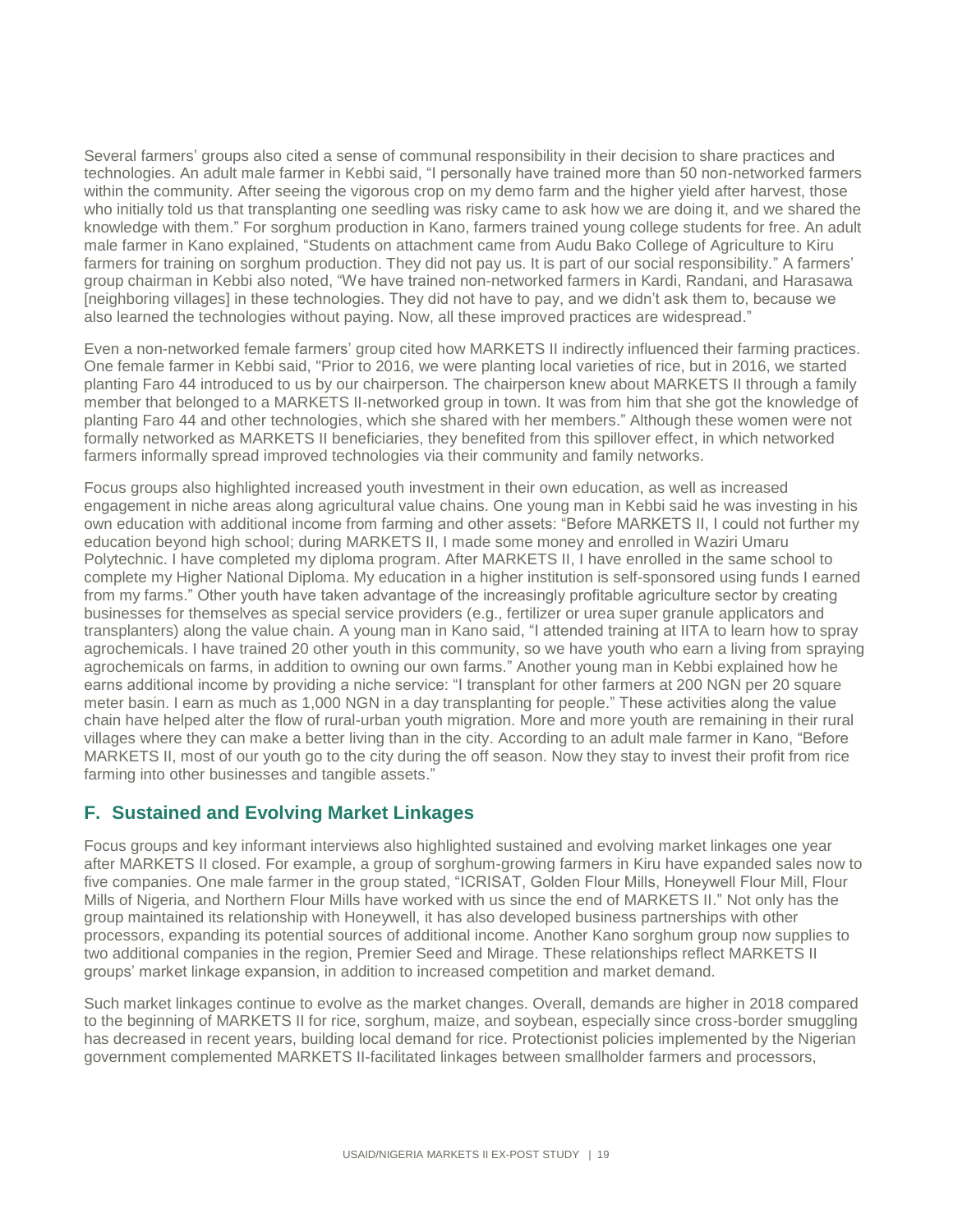Several farmers' groups also cited a sense of communal responsibility in their decision to share practices and technologies. An adult male farmer in Kebbi said, "I personally have trained more than 50 non-networked farmers within the community. After seeing the vigorous crop on my demo farm and the higher yield after harvest, those who initially told us that transplanting one seedling was risky came to ask how we are doing it, and we shared the knowledge with them." For sorghum production in Kano, farmers trained young college students for free. An adult male farmer in Kano explained, "Students on attachment came from Audu Bako College of Agriculture to Kiru farmers for training on sorghum production. They did not pay us. It is part of our social responsibility." A farmers' group chairman in Kebbi also noted, "We have trained non-networked farmers in Kardi, Randani, and Harasawa [neighboring villages] in these technologies. They did not have to pay, and we didn't ask them to, because we also learned the technologies without paying. Now, all these improved practices are widespread."

Even a non-networked female farmers' group cited how MARKETS II indirectly influenced their farming practices. One female farmer in Kebbi said, "Prior to 2016, we were planting local varieties of rice, but in 2016, we started planting Faro 44 introduced to us by our chairperson. The chairperson knew about MARKETS II through a family member that belonged to a MARKETS II-networked group in town. It was from him that she got the knowledge of planting Faro 44 and other technologies, which she shared with her members." Although these women were not formally networked as MARKETS II beneficiaries, they benefited from this spillover effect, in which networked farmers informally spread improved technologies via their community and family networks.

Focus groups also highlighted increased youth investment in their own education, as well as increased engagement in niche areas along agricultural value chains. One young man in Kebbi said he was investing in his own education with additional income from farming and other assets: "Before MARKETS II, I could not further my education beyond high school; during MARKETS II, I made some money and enrolled in Waziri Umaru Polytechnic. I have completed my diploma program. After MARKETS II, I have enrolled in the same school to complete my Higher National Diploma. My education in a higher institution is self-sponsored using funds I earned from my farms." Other youth have taken advantage of the increasingly profitable agriculture sector by creating businesses for themselves as special service providers (e.g., fertilizer or urea super granule applicators and transplanters) along the value chain. A young man in Kano said, "I attended training at IITA to learn how to spray agrochemicals. I have trained 20 other youth in this community, so we have youth who earn a living from spraying agrochemicals on farms, in addition to owning our own farms." Another young man in Kebbi explained how he earns additional income by providing a niche service: "I transplant for other farmers at 200 NGN per 20 square meter basin. I earn as much as 1,000 NGN in a day transplanting for people." These activities along the value chain have helped alter the flow of rural-urban youth migration. More and more youth are remaining in their rural villages where they can make a better living than in the city. According to an adult male farmer in Kano, "Before MARKETS II, most of our youth go to the city during the off season. Now they stay to invest their profit from rice farming into other businesses and tangible assets."

### **F. Sustained and Evolving Market Linkages**

Focus groups and key informant interviews also highlighted sustained and evolving market linkages one year after MARKETS II closed. For example, a group of sorghum-growing farmers in Kiru have expanded sales now to five companies. One male farmer in the group stated, "ICRISAT, Golden Flour Mills, Honeywell Flour Mill, Flour Mills of Nigeria, and Northern Flour Mills have worked with us since the end of MARKETS II." Not only has the group maintained its relationship with Honeywell, it has also developed business partnerships with other processors, expanding its potential sources of additional income. Another Kano sorghum group now supplies to two additional companies in the region, Premier Seed and Mirage. These relationships reflect MARKETS II groups' market linkage expansion, in addition to increased competition and market demand.

Such market linkages continue to evolve as the market changes. Overall, demands are higher in 2018 compared to the beginning of MARKETS II for rice, sorghum, maize, and soybean, especially since cross-border smuggling has decreased in recent years, building local demand for rice. Protectionist policies implemented by the Nigerian government complemented MARKETS II-facilitated linkages between smallholder farmers and processors,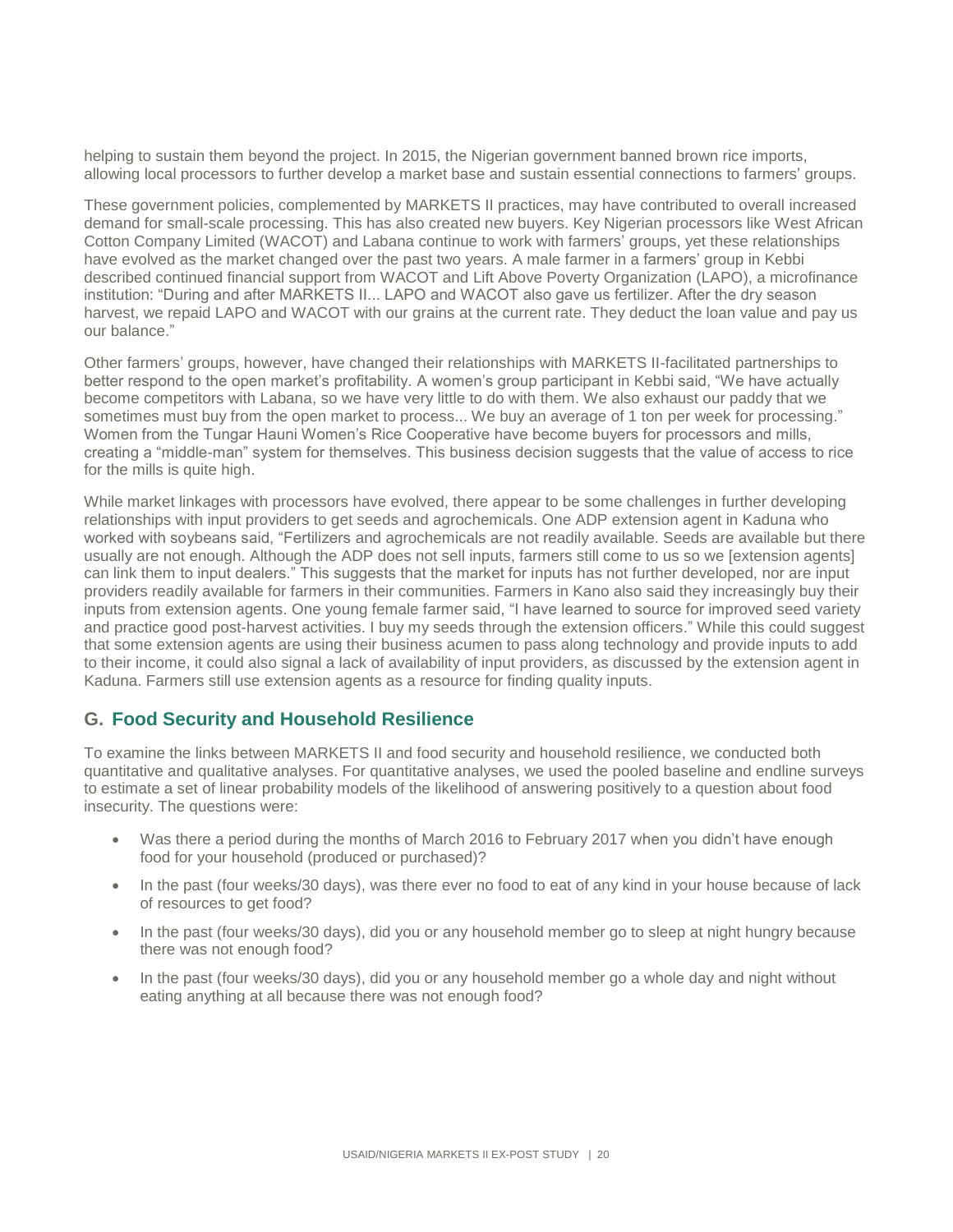helping to sustain them beyond the project. In 2015, the Nigerian government banned brown rice imports, allowing local processors to further develop a market base and sustain essential connections to farmers' groups.

These government policies, complemented by MARKETS II practices, may have contributed to overall increased demand for small-scale processing. This has also created new buyers. Key Nigerian processors like West African Cotton Company Limited (WACOT) and Labana continue to work with farmers' groups, yet these relationships have evolved as the market changed over the past two years. A male farmer in a farmers' group in Kebbi described continued financial support from WACOT and Lift Above Poverty Organization (LAPO), a microfinance institution: "During and after MARKETS II... LAPO and WACOT also gave us fertilizer. After the dry season harvest, we repaid LAPO and WACOT with our grains at the current rate. They deduct the loan value and pay us our balance."

Other farmers' groups, however, have changed their relationships with MARKETS II-facilitated partnerships to better respond to the open market's profitability. A women's group participant in Kebbi said, "We have actually become competitors with Labana, so we have very little to do with them. We also exhaust our paddy that we sometimes must buy from the open market to process... We buy an average of 1 ton per week for processing." Women from the Tungar Hauni Women's Rice Cooperative have become buyers for processors and mills, creating a "middle-man" system for themselves. This business decision suggests that the value of access to rice for the mills is quite high.

While market linkages with processors have evolved, there appear to be some challenges in further developing relationships with input providers to get seeds and agrochemicals. One ADP extension agent in Kaduna who worked with soybeans said, "Fertilizers and agrochemicals are not readily available. Seeds are available but there usually are not enough. Although the ADP does not sell inputs, farmers still come to us so we [extension agents] can link them to input dealers." This suggests that the market for inputs has not further developed, nor are input providers readily available for farmers in their communities. Farmers in Kano also said they increasingly buy their inputs from extension agents. One young female farmer said, "I have learned to source for improved seed variety and practice good post-harvest activities. I buy my seeds through the extension officers." While this could suggest that some extension agents are using their business acumen to pass along technology and provide inputs to add to their income, it could also signal a lack of availability of input providers, as discussed by the extension agent in Kaduna. Farmers still use extension agents as a resource for finding quality inputs.

#### **G. Food Security and Household Resilience**

To examine the links between MARKETS II and food security and household resilience, we conducted both quantitative and qualitative analyses. For quantitative analyses, we used the pooled baseline and endline surveys to estimate a set of linear probability models of the likelihood of answering positively to a question about food insecurity. The questions were:

- Was there a period during the months of March 2016 to February 2017 when you didn't have enough food for your household (produced or purchased)?
- In the past (four weeks/30 days), was there ever no food to eat of any kind in your house because of lack of resources to get food?
- In the past (four weeks/30 days), did you or any household member go to sleep at night hungry because there was not enough food?
- In the past (four weeks/30 days), did you or any household member go a whole day and night without eating anything at all because there was not enough food?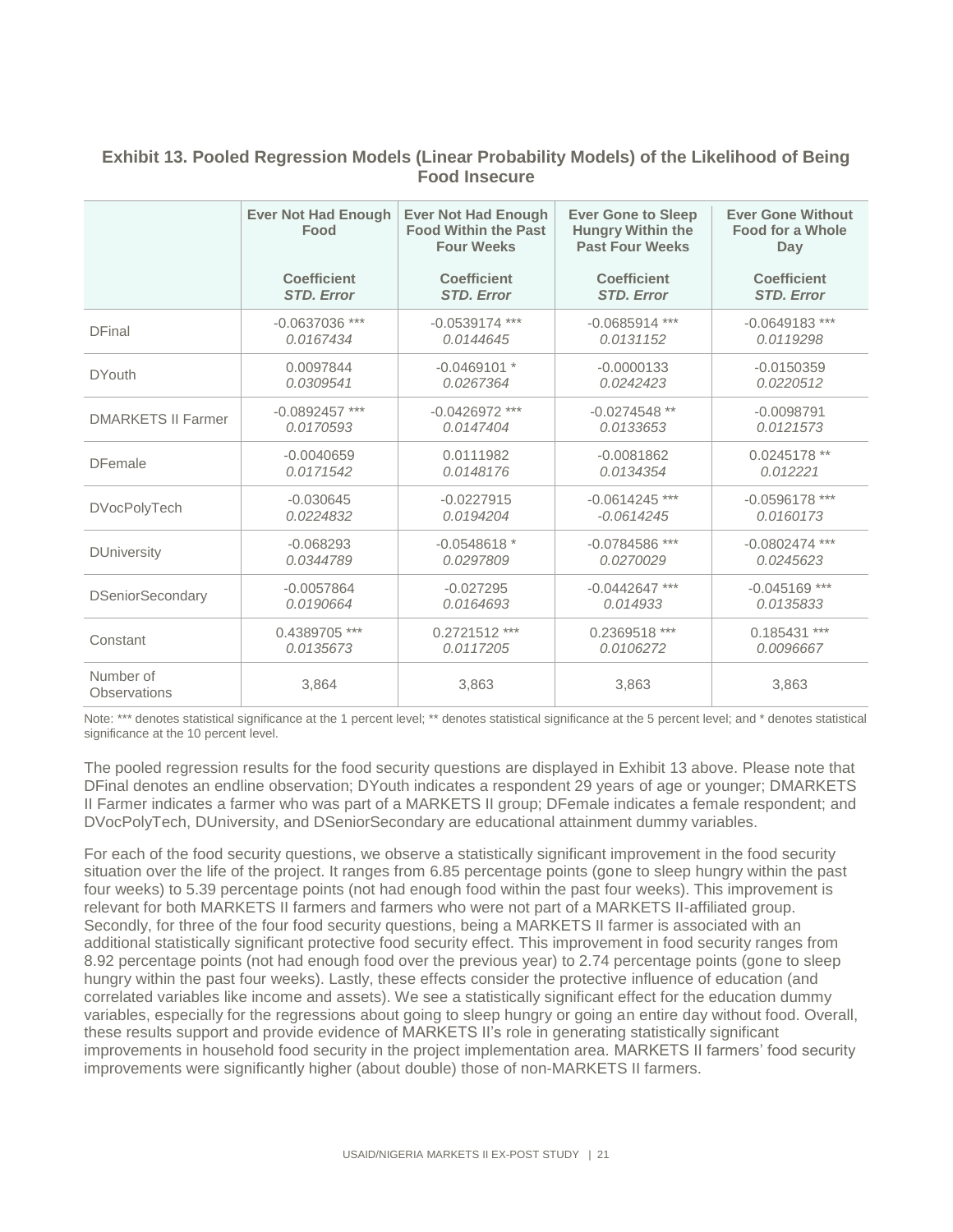|                                  | <b>Ever Not Had Enough</b><br>Food | <b>Ever Not Had Enough</b><br><b>Food Within the Past</b><br><b>Four Weeks</b> | <b>Ever Gone to Sleep</b><br><b>Hungry Within the</b><br><b>Past Four Weeks</b> | <b>Ever Gone Without</b><br><b>Food for a Whole</b><br>Day |
|----------------------------------|------------------------------------|--------------------------------------------------------------------------------|---------------------------------------------------------------------------------|------------------------------------------------------------|
|                                  | <b>Coefficient</b>                 | <b>Coefficient</b>                                                             | <b>Coefficient</b>                                                              | <b>Coefficient</b>                                         |
|                                  | <b>STD. Error</b>                  | <b>STD. Error</b>                                                              | <b>STD. Error</b>                                                               | <b>STD. Error</b>                                          |
| <b>DFinal</b>                    | $-0.0637036$ ***                   | $-0.0539174$ ***                                                               | $-0.0685914$ ***                                                                | $-0.0649183$ ***                                           |
|                                  | 0.0167434                          | 0.0144645                                                                      | 0.0131152                                                                       | 0.0119298                                                  |
| <b>DYouth</b>                    | 0.0097844                          | $-0.0469101*$                                                                  | $-0.0000133$                                                                    | $-0.0150359$                                               |
|                                  | 0.0309541                          | 0.0267364                                                                      | 0.0242423                                                                       | 0.0220512                                                  |
| <b>DMARKETS II Farmer</b>        | $-0.0892457$ ***                   | $-0.0426972$ ***                                                               | $-0.0274548$ **                                                                 | $-0.0098791$                                               |
|                                  | 0.0170593                          | 0.0147404                                                                      | 0.0133653                                                                       | 0.0121573                                                  |
| <b>DFemale</b>                   | $-0.0040659$                       | 0.0111982                                                                      | $-0.0081862$                                                                    | 0.0245178 **                                               |
|                                  | 0.0171542                          | 0.0148176                                                                      | 0.0134354                                                                       | 0.012221                                                   |
| <b>DVocPolyTech</b>              | $-0.030645$                        | $-0.0227915$                                                                   | $-0.0614245$ ***                                                                | $-0.0596178$ ***                                           |
|                                  | 0.0224832                          | 0.0194204                                                                      | $-0.0614245$                                                                    | 0.0160173                                                  |
| <b>DUniversity</b>               | $-0.068293$                        | $-0.0548618*$                                                                  | $-0.0784586$ ***                                                                | $-0.0802474$ ***                                           |
|                                  | 0.0344789                          | 0.0297809                                                                      | 0.0270029                                                                       | 0.0245623                                                  |
| <b>DSeniorSecondary</b>          | $-0.0057864$                       | $-0.027295$                                                                    | $-0.0442647$ ***                                                                | $-0.045169$ ***                                            |
|                                  | 0.0190664                          | 0.0164693                                                                      | 0.014933                                                                        | 0.0135833                                                  |
| Constant                         | 0.4389705 ***                      | $0.2721512$ ***                                                                | 0.2369518 ***                                                                   | $0.185431$ ***                                             |
|                                  | 0.0135673                          | 0.0117205                                                                      | 0.0106272                                                                       | 0.0096667                                                  |
| Number of<br><b>Observations</b> | 3,864                              | 3,863                                                                          | 3,863                                                                           | 3,863                                                      |

#### **Exhibit 13. Pooled Regression Models (Linear Probability Models) of the Likelihood of Being Food Insecure**

Note: \*\*\* denotes statistical significance at the 1 percent level; \*\* denotes statistical significance at the 5 percent level; and \* denotes statistical significance at the 10 percent level.

The pooled regression results for the food security questions are displayed in Exhibit 13 above. Please note that DFinal denotes an endline observation; DYouth indicates a respondent 29 years of age or younger; DMARKETS II Farmer indicates a farmer who was part of a MARKETS II group; DFemale indicates a female respondent; and DVocPolyTech, DUniversity, and DSeniorSecondary are educational attainment dummy variables.

For each of the food security questions, we observe a statistically significant improvement in the food security situation over the life of the project. It ranges from 6.85 percentage points (gone to sleep hungry within the past four weeks) to 5.39 percentage points (not had enough food within the past four weeks). This improvement is relevant for both MARKETS II farmers and farmers who were not part of a MARKETS II-affiliated group. Secondly, for three of the four food security questions, being a MARKETS II farmer is associated with an additional statistically significant protective food security effect. This improvement in food security ranges from 8.92 percentage points (not had enough food over the previous year) to 2.74 percentage points (gone to sleep hungry within the past four weeks). Lastly, these effects consider the protective influence of education (and correlated variables like income and assets). We see a statistically significant effect for the education dummy variables, especially for the regressions about going to sleep hungry or going an entire day without food. Overall, these results support and provide evidence of MARKETS II's role in generating statistically significant improvements in household food security in the project implementation area. MARKETS II farmers' food security improvements were significantly higher (about double) those of non-MARKETS II farmers.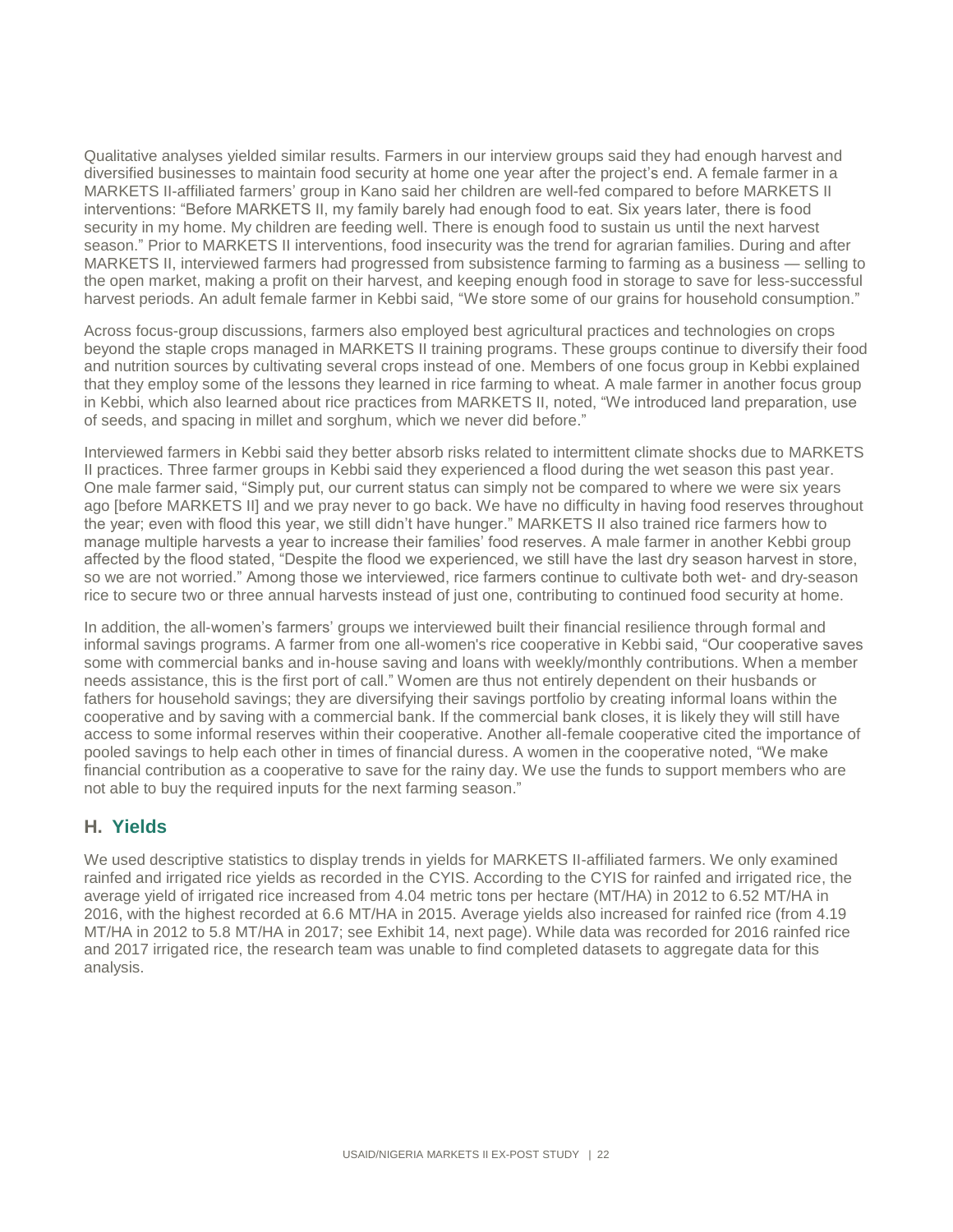Qualitative analyses yielded similar results. Farmers in our interview groups said they had enough harvest and diversified businesses to maintain food security at home one year after the project's end. A female farmer in a MARKETS II-affiliated farmers' group in Kano said her children are well-fed compared to before MARKETS II interventions: "Before MARKETS II, my family barely had enough food to eat. Six years later, there is food security in my home. My children are feeding well. There is enough food to sustain us until the next harvest season." Prior to MARKETS II interventions, food insecurity was the trend for agrarian families. During and after MARKETS II, interviewed farmers had progressed from subsistence farming to farming as a business — selling to the open market, making a profit on their harvest, and keeping enough food in storage to save for less-successful harvest periods. An adult female farmer in Kebbi said, "We store some of our grains for household consumption."

Across focus-group discussions, farmers also employed best agricultural practices and technologies on crops beyond the staple crops managed in MARKETS II training programs. These groups continue to diversify their food and nutrition sources by cultivating several crops instead of one. Members of one focus group in Kebbi explained that they employ some of the lessons they learned in rice farming to wheat. A male farmer in another focus group in Kebbi, which also learned about rice practices from MARKETS II, noted, "We introduced land preparation, use of seeds, and spacing in millet and sorghum, which we never did before."

Interviewed farmers in Kebbi said they better absorb risks related to intermittent climate shocks due to MARKETS II practices. Three farmer groups in Kebbi said they experienced a flood during the wet season this past year. One male farmer said, "Simply put, our current status can simply not be compared to where we were six years ago [before MARKETS II] and we pray never to go back. We have no difficulty in having food reserves throughout the year; even with flood this year, we still didn't have hunger." MARKETS II also trained rice farmers how to manage multiple harvests a year to increase their families' food reserves. A male farmer in another Kebbi group affected by the flood stated, "Despite the flood we experienced, we still have the last dry season harvest in store, so we are not worried." Among those we interviewed, rice farmers continue to cultivate both wet- and dry-season rice to secure two or three annual harvests instead of just one, contributing to continued food security at home.

In addition, the all-women's farmers' groups we interviewed built their financial resilience through formal and informal savings programs. A farmer from one all-women's rice cooperative in Kebbi said, "Our cooperative saves some with commercial banks and in-house saving and loans with weekly/monthly contributions. When a member needs assistance, this is the first port of call." Women are thus not entirely dependent on their husbands or fathers for household savings; they are diversifying their savings portfolio by creating informal loans within the cooperative and by saving with a commercial bank. If the commercial bank closes, it is likely they will still have access to some informal reserves within their cooperative. Another all-female cooperative cited the importance of pooled savings to help each other in times of financial duress. A women in the cooperative noted, "We make financial contribution as a cooperative to save for the rainy day. We use the funds to support members who are not able to buy the required inputs for the next farming season."

### **H. Yields**

We used descriptive statistics to display trends in yields for MARKETS II-affiliated farmers. We only examined rainfed and irrigated rice yields as recorded in the CYIS. According to the CYIS for rainfed and irrigated rice, the average yield of irrigated rice increased from 4.04 metric tons per hectare (MT/HA) in 2012 to 6.52 MT/HA in 2016, with the highest recorded at 6.6 MT/HA in 2015. Average yields also increased for rainfed rice (from 4.19 MT/HA in 2012 to 5.8 MT/HA in 2017; see Exhibit 14, next page). While data was recorded for 2016 rainfed rice and 2017 irrigated rice, the research team was unable to find completed datasets to aggregate data for this analysis.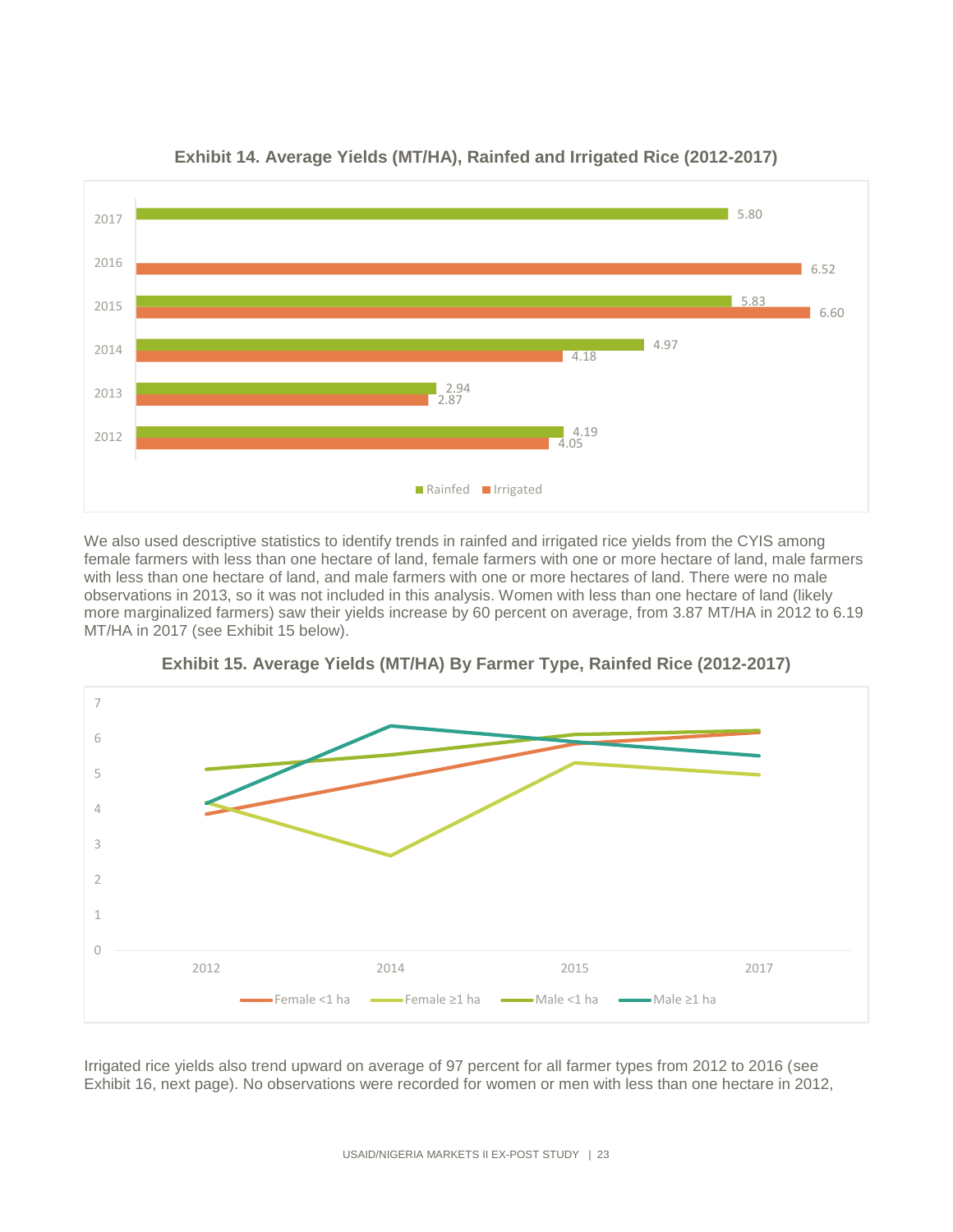

#### **Exhibit 14. Average Yields (MT/HA), Rainfed and Irrigated Rice (2012-2017)**

We also used descriptive statistics to identify trends in rainfed and irrigated rice yields from the CYIS among female farmers with less than one hectare of land, female farmers with one or more hectare of land, male farmers with less than one hectare of land, and male farmers with one or more hectares of land. There were no male observations in 2013, so it was not included in this analysis. Women with less than one hectare of land (likely more marginalized farmers) saw their yields increase by 60 percent on average, from 3.87 MT/HA in 2012 to 6.19 MT/HA in 2017 (see Exhibit 15 below).



**Exhibit 15. Average Yields (MT/HA) By Farmer Type, Rainfed Rice (2012-2017)** 

Irrigated rice yields also trend upward on average of 97 percent for all farmer types from 2012 to 2016 (see Exhibit 16, next page). No observations were recorded for women or men with less than one hectare in 2012,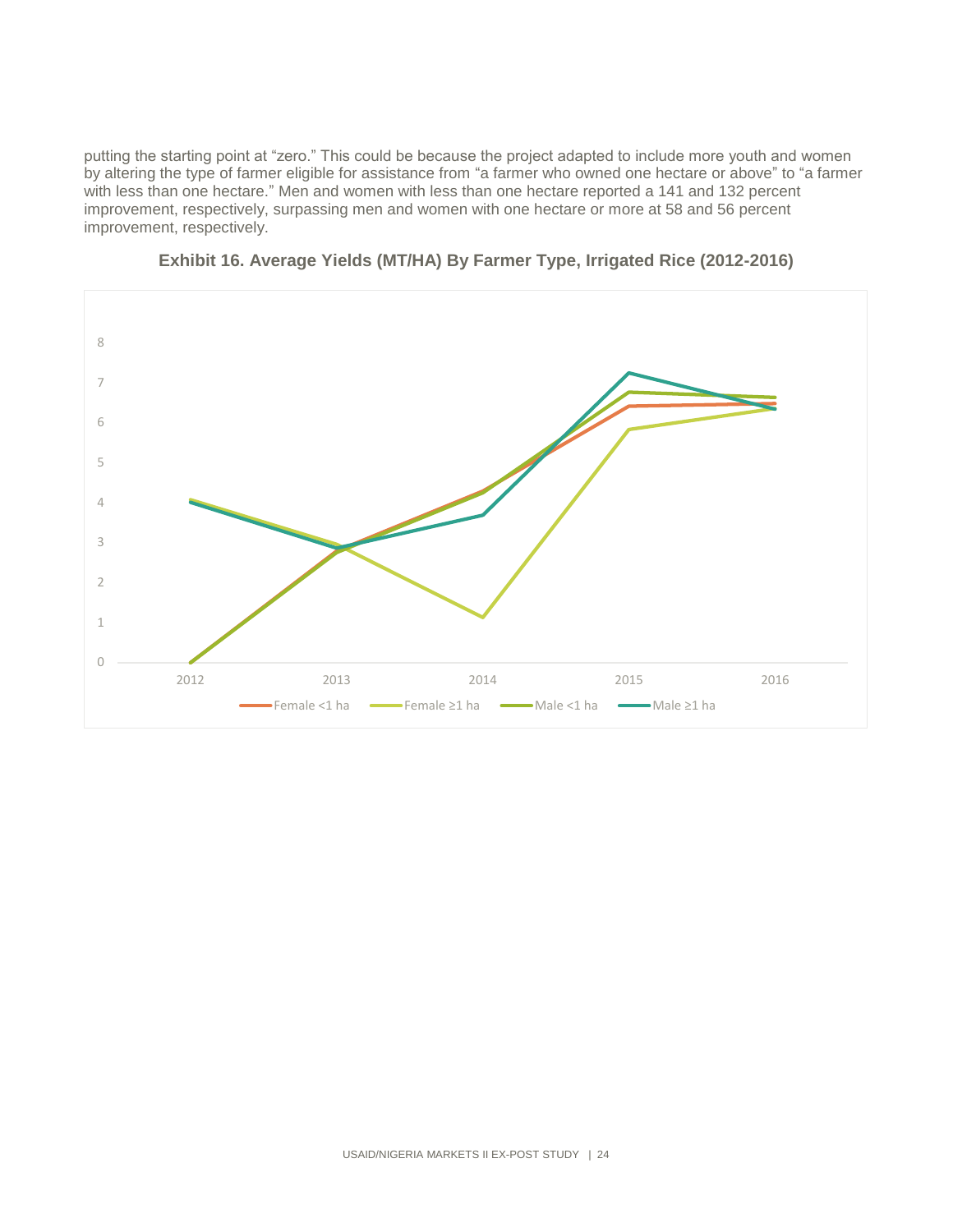putting the starting point at "zero." This could be because the project adapted to include more youth and women by altering the type of farmer eligible for assistance from "a farmer who owned one hectare or above" to "a farmer with less than one hectare." Men and women with less than one hectare reported a 141 and 132 percent improvement, respectively, surpassing men and women with one hectare or more at 58 and 56 percent improvement, respectively.



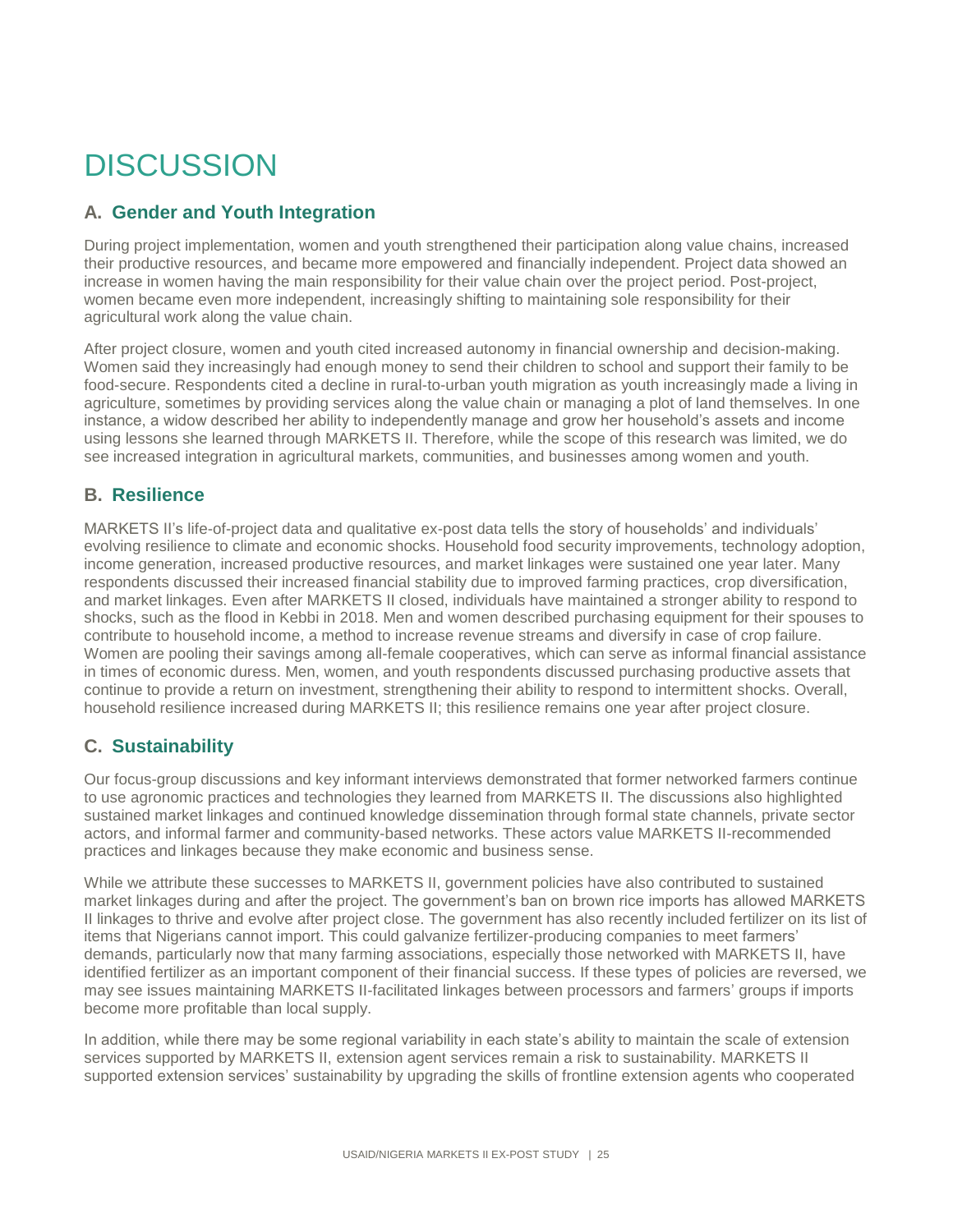# **DISCUSSION**

## **A. Gender and Youth Integration**

During project implementation, women and youth strengthened their participation along value chains, increased their productive resources, and became more empowered and financially independent. Project data showed an increase in women having the main responsibility for their value chain over the project period. Post-project, women became even more independent, increasingly shifting to maintaining sole responsibility for their agricultural work along the value chain.

After project closure, women and youth cited increased autonomy in financial ownership and decision-making. Women said they increasingly had enough money to send their children to school and support their family to be food-secure. Respondents cited a decline in rural-to-urban youth migration as youth increasingly made a living in agriculture, sometimes by providing services along the value chain or managing a plot of land themselves. In one instance, a widow described her ability to independently manage and grow her household's assets and income using lessons she learned through MARKETS II. Therefore, while the scope of this research was limited, we do see increased integration in agricultural markets, communities, and businesses among women and youth.

### **B. Resilience**

MARKETS II's life-of-project data and qualitative ex-post data tells the story of households' and individuals' evolving resilience to climate and economic shocks. Household food security improvements, technology adoption, income generation, increased productive resources, and market linkages were sustained one year later. Many respondents discussed their increased financial stability due to improved farming practices, crop diversification, and market linkages. Even after MARKETS II closed, individuals have maintained a stronger ability to respond to shocks, such as the flood in Kebbi in 2018. Men and women described purchasing equipment for their spouses to contribute to household income, a method to increase revenue streams and diversify in case of crop failure. Women are pooling their savings among all-female cooperatives, which can serve as informal financial assistance in times of economic duress. Men, women, and youth respondents discussed purchasing productive assets that continue to provide a return on investment, strengthening their ability to respond to intermittent shocks. Overall, household resilience increased during MARKETS II; this resilience remains one year after project closure.

### **C. Sustainability**

Our focus-group discussions and key informant interviews demonstrated that former networked farmers continue to use agronomic practices and technologies they learned from MARKETS II. The discussions also highlighted sustained market linkages and continued knowledge dissemination through formal state channels, private sector actors, and informal farmer and community-based networks. These actors value MARKETS II-recommended practices and linkages because they make economic and business sense.

While we attribute these successes to MARKETS II, government policies have also contributed to sustained market linkages during and after the project. The government's ban on brown rice imports has allowed MARKETS II linkages to thrive and evolve after project close. The government has also recently included fertilizer on its list of items that Nigerians cannot import. This could galvanize fertilizer-producing companies to meet farmers' demands, particularly now that many farming associations, especially those networked with MARKETS II, have identified fertilizer as an important component of their financial success. If these types of policies are reversed, we may see issues maintaining MARKETS II-facilitated linkages between processors and farmers' groups if imports become more profitable than local supply.

In addition, while there may be some regional variability in each state's ability to maintain the scale of extension services supported by MARKETS II, extension agent services remain a risk to sustainability. MARKETS II supported extension services' sustainability by upgrading the skills of frontline extension agents who cooperated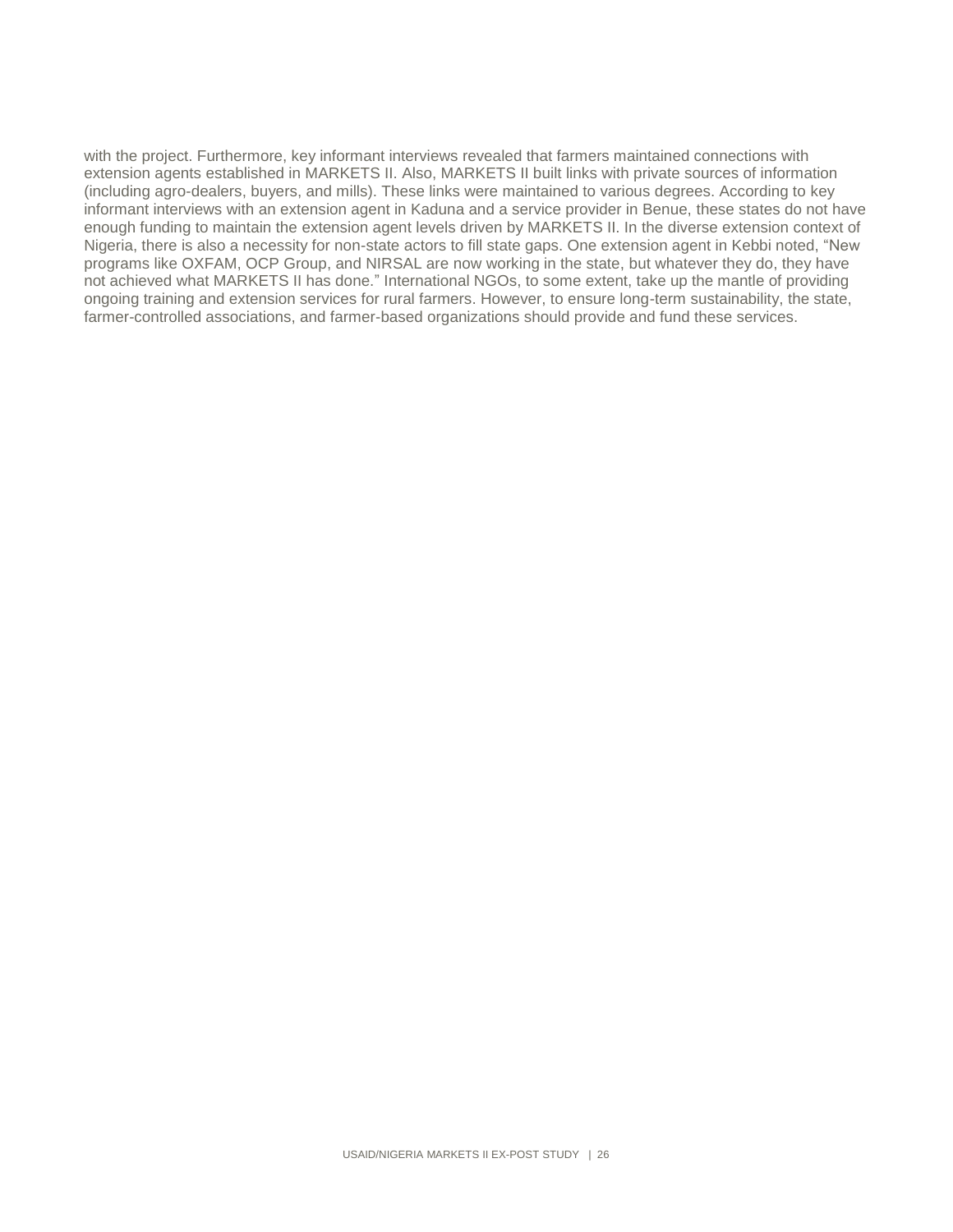with the project. Furthermore, key informant interviews revealed that farmers maintained connections with extension agents established in MARKETS II. Also, MARKETS II built links with private sources of information (including agro-dealers, buyers, and mills). These links were maintained to various degrees. According to key informant interviews with an extension agent in Kaduna and a service provider in Benue, these states do not have enough funding to maintain the extension agent levels driven by MARKETS II. In the diverse extension context of Nigeria, there is also a necessity for non-state actors to fill state gaps. One extension agent in Kebbi noted, "New programs like OXFAM, OCP Group, and NIRSAL are now working in the state, but whatever they do, they have not achieved what MARKETS II has done." International NGOs, to some extent, take up the mantle of providing ongoing training and extension services for rural farmers. However, to ensure long-term sustainability, the state, farmer-controlled associations, and farmer-based organizations should provide and fund these services.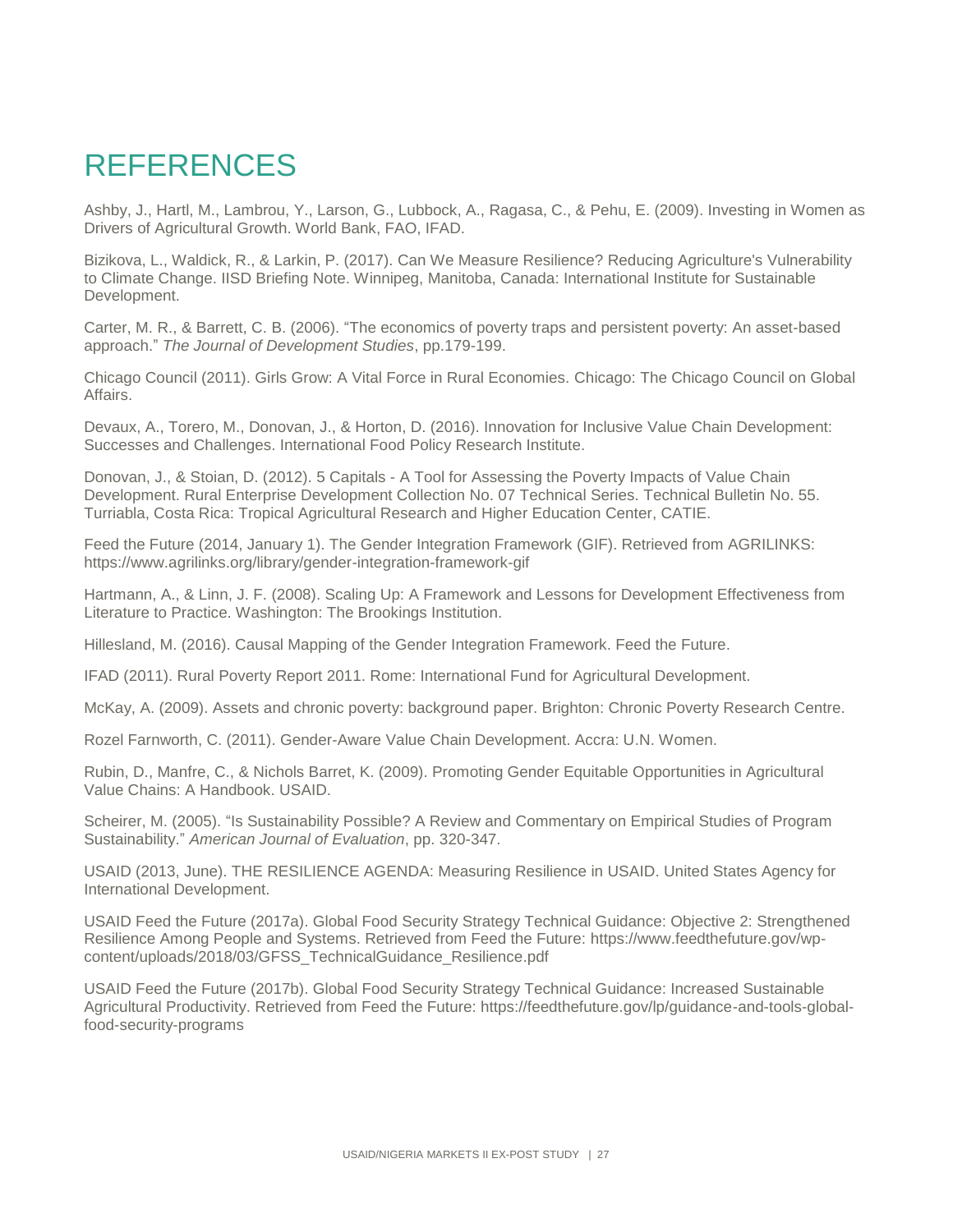## REFERENCES

Ashby, J., Hartl, M., Lambrou, Y., Larson, G., Lubbock, A., Ragasa, C., & Pehu, E. (2009). Investing in Women as Drivers of Agricultural Growth. World Bank, FAO, IFAD.

Bizikova, L., Waldick, R., & Larkin, P. (2017). Can We Measure Resilience? Reducing Agriculture's Vulnerability to Climate Change. IISD Briefing Note. Winnipeg, Manitoba, Canada: International Institute for Sustainable Development.

Carter, M. R., & Barrett, C. B. (2006). "The economics of poverty traps and persistent poverty: An asset-based approach." *The Journal of Development Studies*, pp.179-199.

Chicago Council (2011). Girls Grow: A Vital Force in Rural Economies. Chicago: The Chicago Council on Global Affairs.

Devaux, A., Torero, M., Donovan, J., & Horton, D. (2016). Innovation for Inclusive Value Chain Development: Successes and Challenges. International Food Policy Research Institute.

Donovan, J., & Stoian, D. (2012). 5 Capitals - A Tool for Assessing the Poverty Impacts of Value Chain Development. Rural Enterprise Development Collection No. 07 Technical Series. Technical Bulletin No. 55. Turriabla, Costa Rica: Tropical Agricultural Research and Higher Education Center, CATIE.

Feed the Future (2014, January 1). The Gender Integration Framework (GIF). Retrieved from AGRILINKS: https://www.agrilinks.org/library/gender-integration-framework-gif

Hartmann, A., & Linn, J. F. (2008). Scaling Up: A Framework and Lessons for Development Effectiveness from Literature to Practice. Washington: The Brookings Institution.

Hillesland, M. (2016). Causal Mapping of the Gender Integration Framework. Feed the Future.

IFAD (2011). Rural Poverty Report 2011. Rome: International Fund for Agricultural Development.

McKay, A. (2009). Assets and chronic poverty: background paper. Brighton: Chronic Poverty Research Centre.

Rozel Farnworth, C. (2011). Gender-Aware Value Chain Development. Accra: U.N. Women.

Rubin, D., Manfre, C., & Nichols Barret, K. (2009). Promoting Gender Equitable Opportunities in Agricultural Value Chains: A Handbook. USAID.

Scheirer, M. (2005). "Is Sustainability Possible? A Review and Commentary on Empirical Studies of Program Sustainability." *American Journal of Evaluation*, pp. 320-347.

USAID (2013, June). THE RESILIENCE AGENDA: Measuring Resilience in USAID. United States Agency for International Development.

USAID Feed the Future (2017a). Global Food Security Strategy Technical Guidance: Objective 2: Strengthened Resilience Among People and Systems. Retrieved from Feed the Future: [https://www.feedthefuture.gov/wp](https://www.feedthefuture.gov/wp-content/uploads/2018/03/GFSS_TechnicalGuidance_Resilience.pdf)[content/uploads/2018/03/GFSS\\_TechnicalGuidance\\_Resilience.pdf](https://www.feedthefuture.gov/wp-content/uploads/2018/03/GFSS_TechnicalGuidance_Resilience.pdf)

USAID Feed the Future (2017b). Global Food Security Strategy Technical Guidance: Increased Sustainable Agricultural Productivity. Retrieved from Feed the Future: https://feedthefuture.gov/lp/guidance-and-tools-globalfood-security-programs